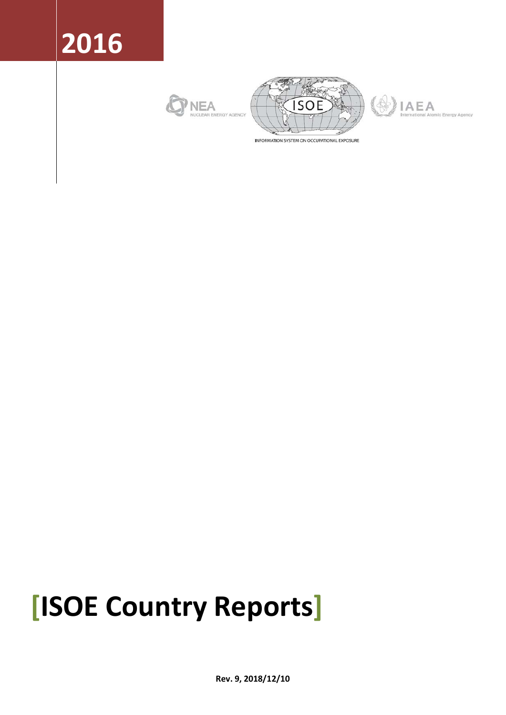# **2016**







INFORMATION SYSTEM ON OCCUPATIONAL EXPOSURE

# **[ISOE Country Reports]**

**Rev. 9, 2018/12/10**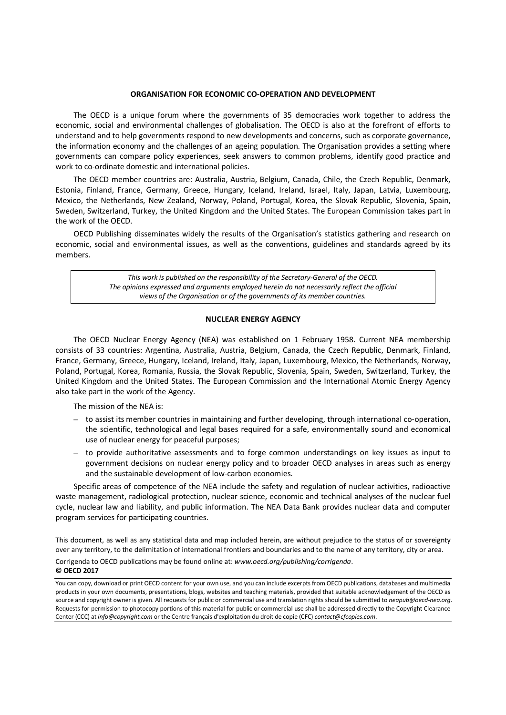#### **ORGANISATION FOR ECONOMIC CO-OPERATION AND DEVELOPMENT**

The OECD is a unique forum where the governments of 35 democracies work together to address the economic, social and environmental challenges of globalisation. The OECD is also at the forefront of efforts to understand and to help governments respond to new developments and concerns, such as corporate governance, the information economy and the challenges of an ageing population. The Organisation provides a setting where governments can compare policy experiences, seek answers to common problems, identify good practice and work to co-ordinate domestic and international policies.

The OECD member countries are: Australia, Austria, Belgium, Canada, Chile, the Czech Republic, Denmark, Estonia, Finland, France, Germany, Greece, Hungary, Iceland, Ireland, Israel, Italy, Japan, Latvia, Luxembourg, Mexico, the Netherlands, New Zealand, Norway, Poland, Portugal, Korea, the Slovak Republic, Slovenia, Spain, Sweden, Switzerland, Turkey, the United Kingdom and the United States. The European Commission takes part in the work of the OECD.

OECD Publishing disseminates widely the results of the Organisation's statistics gathering and research on economic, social and environmental issues, as well as the conventions, guidelines and standards agreed by its members.

> *This work is published on the responsibility of the Secretary-General of the OECD. The opinions expressed and arguments employed herein do not necessarily reflect the official views of the Organisation or of the governments of its member countries.*

#### **NUCLEAR ENERGY AGENCY**

The OECD Nuclear Energy Agency (NEA) was established on 1 February 1958. Current NEA membership consists of 33 countries: Argentina, Australia, Austria, Belgium, Canada, the Czech Republic, Denmark, Finland, France, Germany, Greece, Hungary, Iceland, Ireland, Italy, Japan, Luxembourg, Mexico, the Netherlands, Norway, Poland, Portugal, Korea, Romania, Russia, the Slovak Republic, Slovenia, Spain, Sweden, Switzerland, Turkey, the United Kingdom and the United States. The European Commission and the International Atomic Energy Agency also take part in the work of the Agency.

The mission of the NEA is:

- to assist its member countries in maintaining and further developing, through international co-operation, the scientific, technological and legal bases required for a safe, environmentally sound and economical use of nuclear energy for peaceful purposes;
- to provide authoritative assessments and to forge common understandings on key issues as input to government decisions on nuclear energy policy and to broader OECD analyses in areas such as energy and the sustainable development of low-carbon economies.

Specific areas of competence of the NEA include the safety and regulation of nuclear activities, radioactive waste management, radiological protection, nuclear science, economic and technical analyses of the nuclear fuel cycle, nuclear law and liability, and public information. The NEA Data Bank provides nuclear data and computer program services for participating countries.

This document, as well as any statistical data and map included herein, are without prejudice to the status of or sovereignty over any territory, to the delimitation of international frontiers and boundaries and to the name of any territory, city or area.

Corrigenda to OECD publications may be found online at: *www.oecd.org/publishing/corrigenda*.

#### **© OECD 2017**

You can copy, download or print OECD content for your own use, and you can include excerpts from OECD publications, databases and multimedia products in your own documents, presentations, blogs, websites and teaching materials, provided that suitable acknowledgement of the OECD as source and copyright owner is given. All requests for public or commercial use and translation rights should be submitted to *neapub@oecd-nea.org*. Requests for permission to photocopy portions of this material for public or commercial use shall be addressed directly to the Copyright Clearance Center (CCC) at *info@copyright.com* or the Centre français d'exploitation du droit de copie (CFC) *contact@cfcopies.com*.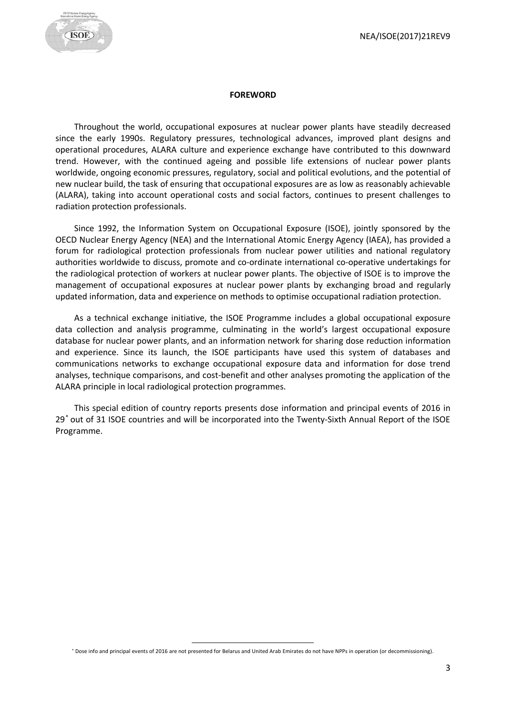

#### **FOREWORD**

<span id="page-2-1"></span>Throughout the world, occupational exposures at nuclear power plants have steadily decreased since the early 1990s. Regulatory pressures, technological advances, improved plant designs and operational procedures, ALARA culture and experience exchange have contributed to this downward trend. However, with the continued ageing and possible life extensions of nuclear power plants worldwide, ongoing economic pressures, regulatory, social and political evolutions, and the potential of new nuclear build, the task of ensuring that occupational exposures are as low as reasonably achievable (ALARA), taking into account operational costs and social factors, continues to present challenges to radiation protection professionals.

Since 1992, the Information System on Occupational Exposure (ISOE), jointly sponsored by the OECD Nuclear Energy Agency (NEA) and the International Atomic Energy Agency (IAEA), has provided a forum for radiological protection professionals from nuclear power utilities and national regulatory authorities worldwide to discuss, promote and co-ordinate international co-operative undertakings for the radiological protection of workers at nuclear power plants. The objective of ISOE is to improve the management of occupational exposures at nuclear power plants by exchanging broad and regularly updated information, data and experience on methods to optimise occupational radiation protection.

As a technical exchange initiative, the ISOE Programme includes a global occupational exposure data collection and analysis programme, culminating in the world's largest occupational exposure database for nuclear power plants, and an information network for sharing dose reduction information and experience. Since its launch, the ISOE participants have used this system of databases and communications networks to exchange occupational exposure data and information for dose trend analyses, technique comparisons, and cost-benefit and other analyses promoting the application of the ALARA principle in local radiological protection programmes.

This special edition of country reports presents dose information and principal events of 2016 in 29[\\*](#page-2-0) out of 31 ISOE countries and will be incorporated into the Twenty-Sixth Annual Report of the ISOE Programme.

<span id="page-2-0"></span> <sup>\*</sup> Dose info and principal events of 2016 are not presented for Belarus and United Arab Emirates do not have NPPs in operation (or decommissioning).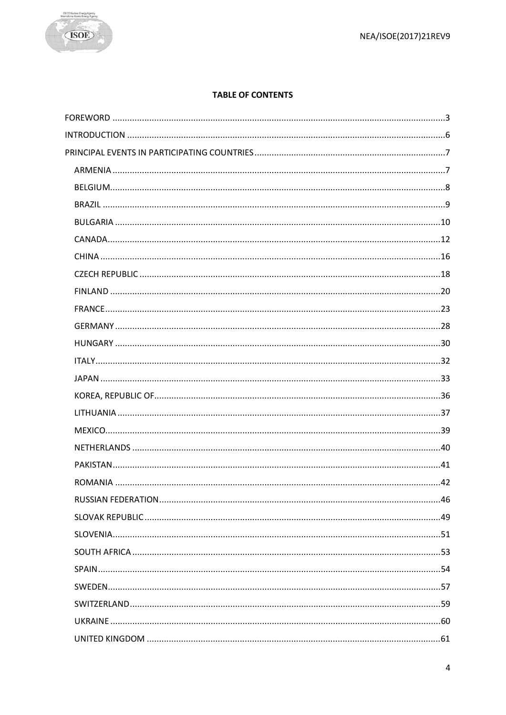

# **TABLE OF CONTENTS**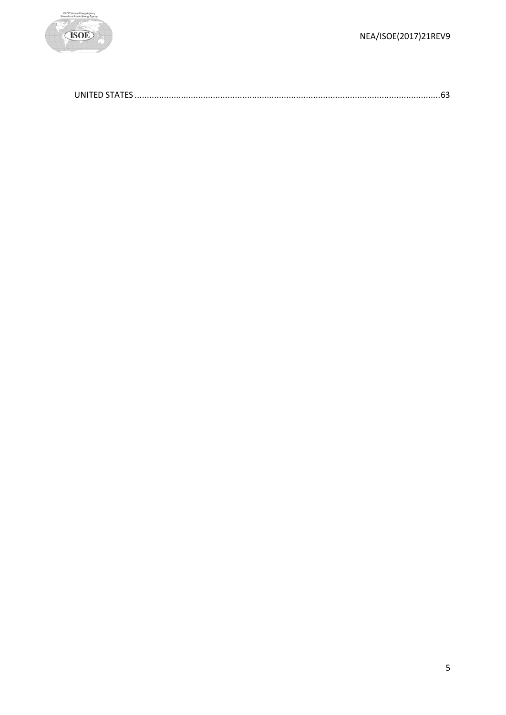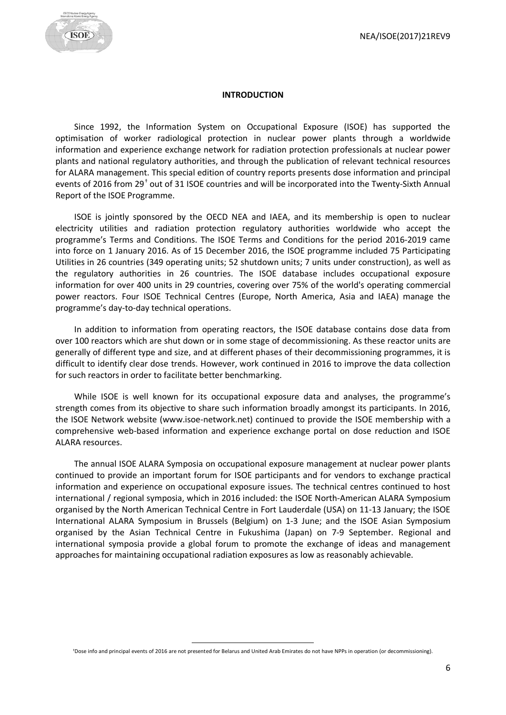

#### **INTRODUCTION**

<span id="page-5-0"></span>Since 1992, the Information System on Occupational Exposure (ISOE) has supported the optimisation of worker radiological protection in nuclear power plants through a worldwide information and experience exchange network for radiation protection professionals at nuclear power plants and national regulatory authorities, and through the publication of relevant technical resources for ALARA management. This special edition of country reports presents dose information and principal events of 2016 from 29[†](#page-5-1) out of 31 ISOE countries and will be incorporated into the Twenty-Sixth Annual Report of the ISOE Programme.

ISOE is jointly sponsored by the OECD NEA and IAEA, and its membership is open to nuclear electricity utilities and radiation protection regulatory authorities worldwide who accept the programme's Terms and Conditions. The ISOE Terms and Conditions for the period 2016-2019 came into force on 1 January 2016. As of 15 December 2016, the ISOE programme included 75 Participating Utilities in 26 countries (349 operating units; 52 shutdown units; 7 units under construction), as well as the regulatory authorities in 26 countries. The ISOE database includes occupational exposure information for over 400 units in 29 countries, covering over 75% of the world's operating commercial power reactors. Four ISOE Technical Centres (Europe, North America, Asia and IAEA) manage the programme's day-to-day technical operations.

In addition to information from operating reactors, the ISOE database contains dose data from over 100 reactors which are shut down or in some stage of decommissioning. As these reactor units are generally of different type and size, and at different phases of their decommissioning programmes, it is difficult to identify clear dose trends. However, work continued in 2016 to improve the data collection for such reactors in order to facilitate better benchmarking.

While ISOE is well known for its occupational exposure data and analyses, the programme's strength comes from its objective to share such information broadly amongst its participants. In 2016, the ISOE Network website (www.isoe-network.net) continued to provide the ISOE membership with a comprehensive web-based information and experience exchange portal on dose reduction and ISOE ALARA resources.

The annual ISOE ALARA Symposia on occupational exposure management at nuclear power plants continued to provide an important forum for ISOE participants and for vendors to exchange practical information and experience on occupational exposure issues. The technical centres continued to host international / regional symposia, which in 2016 included: the ISOE North-American ALARA Symposium organised by the North American Technical Centre in Fort Lauderdale (USA) on 11-13 January; the ISOE International ALARA Symposium in Brussels (Belgium) on 1-3 June; and the ISOE Asian Symposium organised by the Asian Technical Centre in Fukushima (Japan) on 7-9 September. Regional and international symposia provide a global forum to promote the exchange of ideas and management approaches for maintaining occupational radiation exposures as low as reasonably achievable.

<span id="page-5-1"></span> <sup>†</sup>Dose info and principal events of 2016 are not presented for Belarus and United Arab Emirates do not have NPPs in operation (or decommissioning).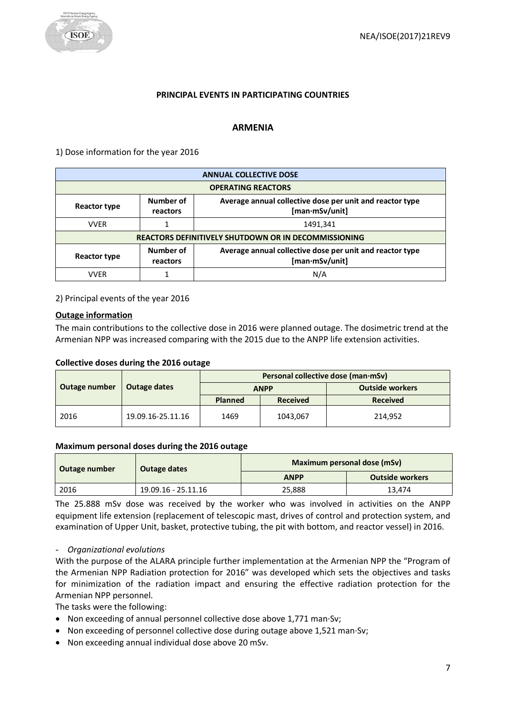

#### **PRINCIPAL EVENTS IN PARTICIPATING COUNTRIES**

#### **ARMENIA**

<span id="page-6-1"></span><span id="page-6-0"></span>1) Dose information for the year 2016

|                           |                                                             | <b>ANNUAL COLLECTIVE DOSE</b>                                              |  |  |
|---------------------------|-------------------------------------------------------------|----------------------------------------------------------------------------|--|--|
| <b>OPERATING REACTORS</b> |                                                             |                                                                            |  |  |
| Reactor type              | Number of<br>reactors                                       | Average annual collective dose per unit and reactor type<br>[man·mSv/unit] |  |  |
| <b>VVER</b>               |                                                             | 1491,341                                                                   |  |  |
|                           | <b>REACTORS DEFINITIVELY SHUTDOWN OR IN DECOMMISSIONING</b> |                                                                            |  |  |
| <b>Reactor type</b>       | Number of<br>reactors                                       | Average annual collective dose per unit and reactor type<br>[man·mSv/unit] |  |  |
| <b>VVFR</b>               |                                                             | N/A                                                                        |  |  |

2) Principal events of the year 2016

#### **Outage information**

The main contributions to the collective dose in 2016 were planned outage. The dosimetric trend at the Armenian NPP was increased comparing with the 2015 due to the ANPP life extension activities.

#### **Collective doses during the 2016 outage**

|                               |                   | Personal collective dose (man·mSv) |                 |                        |  |
|-------------------------------|-------------------|------------------------------------|-----------------|------------------------|--|
| Outage number<br>Outage dates |                   | <b>ANPP</b>                        |                 | <b>Outside workers</b> |  |
|                               |                   | <b>Planned</b>                     | <b>Received</b> | <b>Received</b>        |  |
| 2016                          | 19.09.16-25.11.16 | 1469                               | 1043,067        | 214.952                |  |

#### **Maximum personal doses during the 2016 outage**

| Outage number | Outage dates        | Maximum personal dose (mSv) |                        |  |
|---------------|---------------------|-----------------------------|------------------------|--|
|               |                     | <b>ANPP</b>                 | <b>Outside workers</b> |  |
| 2016          | 19.09.16 - 25.11.16 | 25,888                      | 13,474                 |  |

The 25.888 mSv dose was received by the worker who was involved in activities on the ANPP equipment life extension (replacement of telescopic mast, drives of control and protection system, and examination of Upper Unit, basket, protective tubing, the pit with bottom, and reactor vessel) in 2016.

- *Organizational evolutions*

With the purpose of the ALARA principle further implementation at the Armenian NPP the "Program of the Armenian NPP Radiation protection for 2016" was developed which sets the objectives and tasks for minimization of the radiation impact and ensuring the effective radiation protection for the Armenian NPP personnel.

The tasks were the following:

- Non exceeding of annual personnel collective dose above 1,771 man·Sv;
- Non exceeding of personnel collective dose during outage above 1,521 man·Sv;
- Non exceeding annual individual dose above 20 mSv.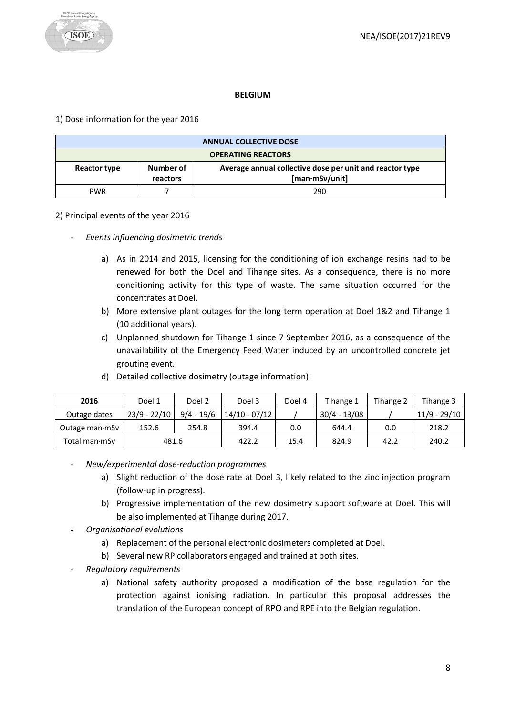#### **BELGIUM**

<span id="page-7-0"></span>1) Dose information for the year 2016

| <b>ANNUAL COLLECTIVE DOSE</b> |                       |                                                                            |  |
|-------------------------------|-----------------------|----------------------------------------------------------------------------|--|
| <b>OPERATING REACTORS</b>     |                       |                                                                            |  |
| Reactor type                  | Number of<br>reactors | Average annual collective dose per unit and reactor type<br>[man·mSv/unit] |  |
| <b>PWR</b>                    |                       | 290                                                                        |  |

#### 2) Principal events of the year 2016

- *Events influencing dosimetric trends* 
	- a) As in 2014 and 2015, licensing for the conditioning of ion exchange resins had to be renewed for both the Doel and Tihange sites. As a consequence, there is no more conditioning activity for this type of waste. The same situation occurred for the concentrates at Doel.
	- b) More extensive plant outages for the long term operation at Doel 1&2 and Tihange 1 (10 additional years).
	- c) Unplanned shutdown for Tihange 1 since 7 September 2016, as a consequence of the unavailability of the Emergency Feed Water induced by an uncontrolled concrete jet grouting event.

| 2016                   | Doel 1         | Doel 2       | Doel 3        | Doel 4 | Tihange 1      | Tihange 2 | Tihange 3    |
|------------------------|----------------|--------------|---------------|--------|----------------|-----------|--------------|
| Outage dates           | $23/9 - 22/10$ | $9/4 - 19/6$ | 14/10 - 07/12 |        | $30/4 - 13/08$ |           | 11/9 - 29/10 |
| Outage man $\cdot$ mSv | 152.6          | 254.8        | 394.4         | 0.0    | 644.4          | 0.0       | 218.2        |
| Total man∙mSv          | 481.6          |              | 422.2         | 15.4   | 824.9          | 42.2      | 240.2        |

d) Detailed collective dosimetry (outage information):

- *New/experimental dose-reduction programmes*
	- a) Slight reduction of the dose rate at Doel 3, likely related to the zinc injection program (follow-up in progress).
	- b) Progressive implementation of the new dosimetry support software at Doel. This will be also implemented at Tihange during 2017.
- *Organisational evolutions*
	- a) Replacement of the personal electronic dosimeters completed at Doel.
	- b) Several new RP collaborators engaged and trained at both sites.
- *Regulatory requirements*
	- a) National safety authority proposed a modification of the base regulation for the protection against ionising radiation. In particular this proposal addresses the translation of the European concept of RPO and RPE into the Belgian regulation.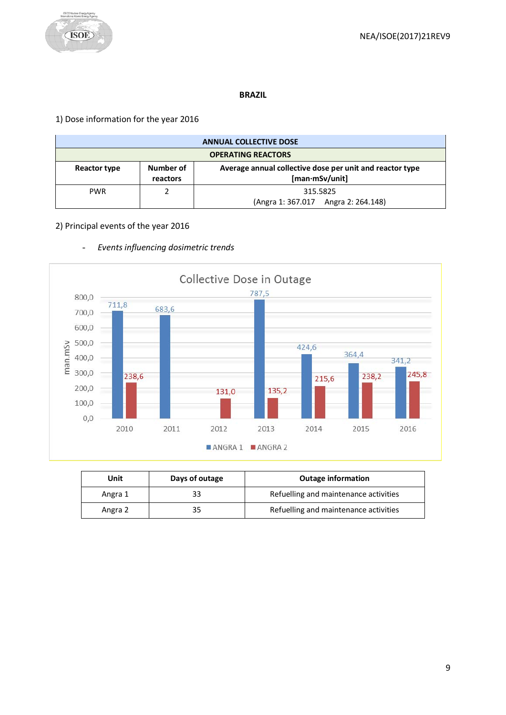

#### **BRAZIL**

# <span id="page-8-0"></span>1) Dose information for the year 2016

| <b>ANNUAL COLLECTIVE DOSE</b> |                       |                                                                            |  |
|-------------------------------|-----------------------|----------------------------------------------------------------------------|--|
| <b>OPERATING REACTORS</b>     |                       |                                                                            |  |
| Reactor type                  | Number of<br>reactors | Average annual collective dose per unit and reactor type<br>[man·mSv/unit] |  |
| <b>PWR</b>                    |                       | 315.5825<br>(Angra 1: 367.017 Angra 2: 264.148)                            |  |

# 2) Principal events of the year 2016



- *Events influencing dosimetric trends* 

| Unit    | Days of outage | <b>Outage information</b>             |
|---------|----------------|---------------------------------------|
| Angra 1 | 33             | Refuelling and maintenance activities |
| Angra 2 | 35             | Refuelling and maintenance activities |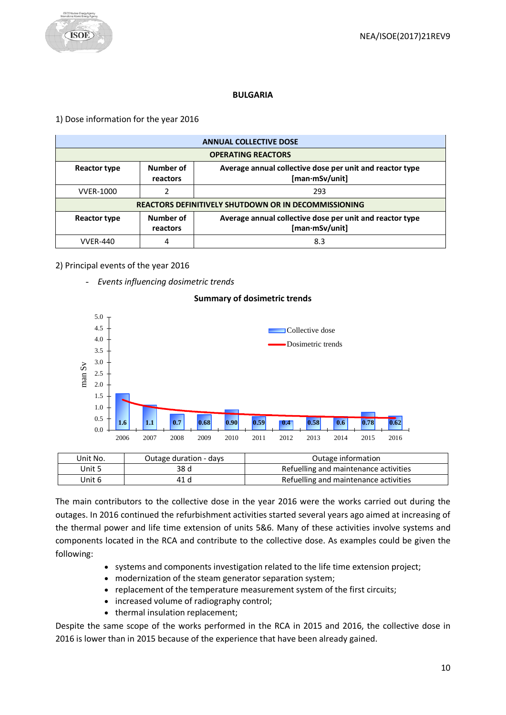

#### **BULGARIA**

#### <span id="page-9-0"></span>1) Dose information for the year 2016

|                  |                                                             | <b>ANNUAL COLLECTIVE DOSE</b>                                              |  |  |
|------------------|-------------------------------------------------------------|----------------------------------------------------------------------------|--|--|
|                  | <b>OPERATING REACTORS</b>                                   |                                                                            |  |  |
| Reactor type     | Number of<br>reactors                                       | Average annual collective dose per unit and reactor type<br>[man·mSv/unit] |  |  |
| <b>VVER-1000</b> |                                                             | 293                                                                        |  |  |
|                  | <b>REACTORS DEFINITIVELY SHUTDOWN OR IN DECOMMISSIONING</b> |                                                                            |  |  |
| Reactor type     | Number of<br>reactors                                       | Average annual collective dose per unit and reactor type<br>[man·mSv/unit] |  |  |
| <b>VVER-440</b>  |                                                             | 8.3                                                                        |  |  |

# 2) Principal events of the year 2016

5.0

- *Events influencing dosimetric trends* 

# **Summary of dosimetric trends** Collective dose



| Unit No. | Outage duration - days | Outage information                    |
|----------|------------------------|---------------------------------------|
| Unit 5   | 38 d                   | Refuelling and maintenance activities |
| Unit 6   | 41 d                   | Refuelling and maintenance activities |

The main contributors to the collective dose in the year 2016 were the works carried out during the outages. In 2016 continued the refurbishment activities started several years ago aimed at increasing of the thermal power and life time extension of units 5&6. Many of these activities involve systems and components located in the RCA and contribute to the collective dose. As examples could be given the following:

- systems and components investigation related to the life time extension project;
- modernization of the steam generator separation system;
- replacement of the temperature measurement system of the first circuits;
- increased volume of radiography control;
- thermal insulation replacement;

Despite the same scope of the works performed in the RCA in 2015 and 2016, the collective dose in 2016 is lower than in 2015 because of the experience that have been already gained.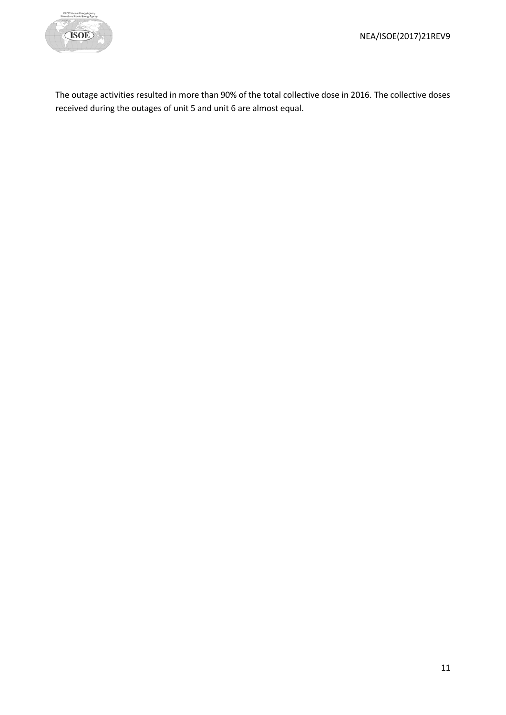

The outage activities resulted in more than 90% of the total collective dose in 2016. The collective doses received during the outages of unit 5 and unit 6 are almost equal.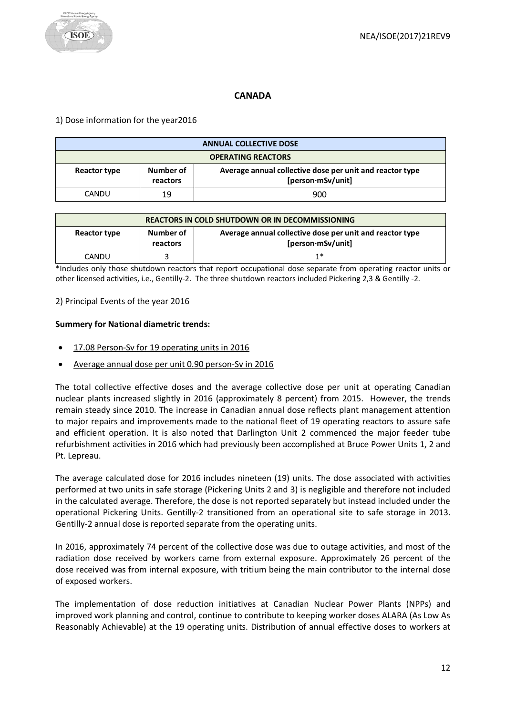# **CANADA**

#### <span id="page-11-0"></span>1) Dose information for the year2016

| <b>ANNUAL COLLECTIVE DOSE</b> |                       |                                                                               |  |
|-------------------------------|-----------------------|-------------------------------------------------------------------------------|--|
| <b>OPERATING REACTORS</b>     |                       |                                                                               |  |
| Reactor type                  | Number of<br>reactors | Average annual collective dose per unit and reactor type<br>[person·mSv/unit] |  |
| CANDU                         | 19                    | 900                                                                           |  |

| <b>REACTORS IN COLD SHUTDOWN OR IN DECOMMISSIONING</b> |                       |                                                                               |  |
|--------------------------------------------------------|-----------------------|-------------------------------------------------------------------------------|--|
| Reactor type                                           | Number of<br>reactors | Average annual collective dose per unit and reactor type<br>[person·mSv/unit] |  |
| CANDU                                                  |                       | 1*                                                                            |  |

\*Includes only those shutdown reactors that report occupational dose separate from operating reactor units or other licensed activities, i.e., Gentilly-2. The three shutdown reactors included Pickering 2,3 & Gentilly -2.

2) Principal Events of the year 2016

#### **Summery for National diametric trends:**

- 17.08 Person-Sv for 19 operating units in 2016
- Average annual dose per unit 0.90 person-Sv in 2016

The total collective effective doses and the average collective dose per unit at operating Canadian nuclear plants increased slightly in 2016 (approximately 8 percent) from 2015. However, the trends remain steady since 2010. The increase in Canadian annual dose reflects plant management attention to major repairs and improvements made to the national fleet of 19 operating reactors to assure safe and efficient operation. It is also noted that Darlington Unit 2 commenced the major feeder tube refurbishment activities in 2016 which had previously been accomplished at Bruce Power Units 1, 2 and Pt. Lepreau.

The average calculated dose for 2016 includes nineteen (19) units. The dose associated with activities performed at two units in safe storage (Pickering Units 2 and 3) is negligible and therefore not included in the calculated average. Therefore, the dose is not reported separately but instead included under the operational Pickering Units. Gentilly-2 transitioned from an operational site to safe storage in 2013. Gentilly-2 annual dose is reported separate from the operating units.

In 2016, approximately 74 percent of the collective dose was due to outage activities, and most of the radiation dose received by workers came from external exposure. Approximately 26 percent of the dose received was from internal exposure, with tritium being the main contributor to the internal dose of exposed workers.

The implementation of dose reduction initiatives at Canadian Nuclear Power Plants (NPPs) and improved work planning and control, continue to contribute to keeping worker doses ALARA (As Low As Reasonably Achievable) at the 19 operating units. Distribution of annual effective doses to workers at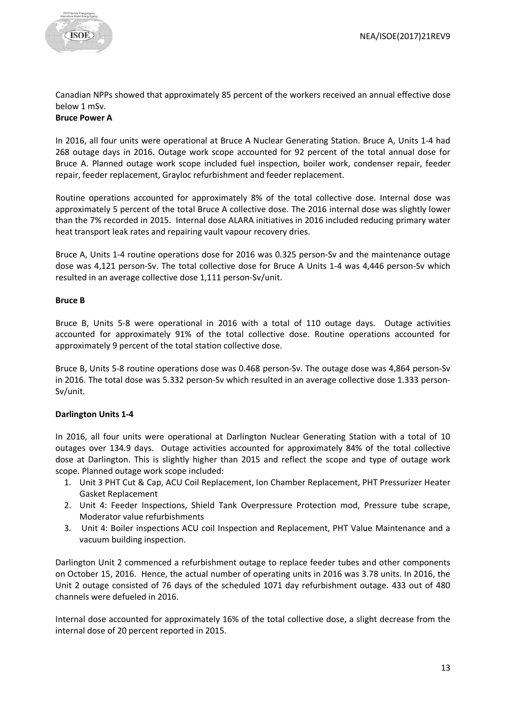

Canadian NPPs showed that approximately 85 percent of the workers received an annual effective dose below 1 mSv.

# **Bruce Power A**

In 2016, all four units were operational at Bruce A Nuclear Generating Station. Bruce A, Units 1-4 had 268 outage days in 2016. Outage work scope accounted for 92 percent of the total annual dose for Bruce A. Planned outage work scope included fuel inspection, boiler work, condenser repair, feeder repair, feeder replacement, Grayloc refurbishment and feeder replacement.

Routine operations accounted for approximately 8% of the total collective dose. Internal dose was approximately 5 percent of the total Bruce A collective dose. The 2016 internal dose was slightly lower than the 7% recorded in 2015. Internal dose ALARA initiatives in 2016 included reducing primary water heat transport leak rates and repairing vault vapour recovery dries.

Bruce A, Units 1-4 routine operations dose for 2016 was 0.325 person-Sv and the maintenance outage dose was 4,121 person-Sv. The total collective dose for Bruce A Units 1-4 was 4,446 person-Sv which resulted in an average collective dose 1,111 person-Sv/unit.

#### **Bruce B**

Bruce B, Units 5-8 were operational in 2016 with a total of 110 outage days. Outage activities accounted for approximately 91% of the total collective dose. Routine operations accounted for approximately 9 percent of the total station collective dose.

Bruce B, Units 5-8 routine operations dose was 0.468 person-Sv. The outage dose was 4,864 person-Sv in 2016. The total dose was 5.332 person-Sv which resulted in an average collective dose 1.333 person-Sv/unit.

# **Darlington Units 1-4**

In 2016, all four units were operational at Darlington Nuclear Generating Station with a total of 10 outages over 134.9 days. Outage activities accounted for approximately 84% of the total collective dose at Darlington. This is slightly higher than 2015 and reflect the scope and type of outage work scope. Planned outage work scope included:

- 1. Unit 3 PHT Cut & Cap, ACU Coil Replacement, Ion Chamber Replacement, PHT Pressurizer Heater Gasket Replacement
- 2. Unit 4: Feeder Inspections, Shield Tank Overpressure Protection mod, Pressure tube scrape, Moderator value refurbishments
- 3. Unit 4: Boiler inspections ACU coil Inspection and Replacement, PHT Value Maintenance and a vacuum building inspection.

Darlington Unit 2 commenced a refurbishment outage to replace feeder tubes and other components on October 15, 2016. Hence, the actual number of operating units in 2016 was 3.78 units. In 2016, the Unit 2 outage consisted of 76 days of the scheduled 1071 day refurbishment outage. 433 out of 480 channels were defueled in 2016.

Internal dose accounted for approximately 16% of the total collective dose, a slight decrease from the internal dose of 20 percent reported in 2015.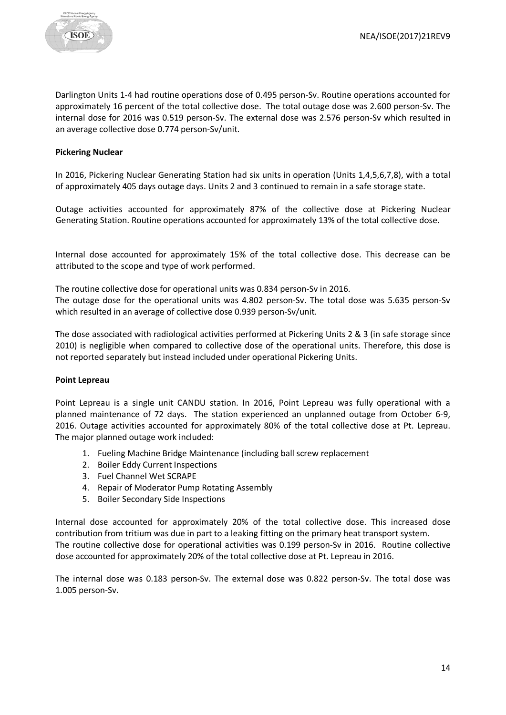

Darlington Units 1-4 had routine operations dose of 0.495 person-Sv. Routine operations accounted for approximately 16 percent of the total collective dose. The total outage dose was 2.600 person-Sv. The internal dose for 2016 was 0.519 person-Sv. The external dose was 2.576 person-Sv which resulted in an average collective dose 0.774 person-Sv/unit.

#### **Pickering Nuclear**

In 2016, Pickering Nuclear Generating Station had six units in operation (Units 1,4,5,6,7,8), with a total of approximately 405 days outage days. Units 2 and 3 continued to remain in a safe storage state.

Outage activities accounted for approximately 87% of the collective dose at Pickering Nuclear Generating Station. Routine operations accounted for approximately 13% of the total collective dose.

Internal dose accounted for approximately 15% of the total collective dose. This decrease can be attributed to the scope and type of work performed.

The routine collective dose for operational units was 0.834 person-Sv in 2016. The outage dose for the operational units was 4.802 person-Sv. The total dose was 5.635 person-Sv which resulted in an average of collective dose 0.939 person-Sv/unit.

The dose associated with radiological activities performed at Pickering Units 2 & 3 (in safe storage since 2010) is negligible when compared to collective dose of the operational units. Therefore, this dose is not reported separately but instead included under operational Pickering Units.

#### **Point Lepreau**

Point Lepreau is a single unit CANDU station. In 2016, Point Lepreau was fully operational with a planned maintenance of 72 days. The station experienced an unplanned outage from October 6-9, 2016. Outage activities accounted for approximately 80% of the total collective dose at Pt. Lepreau. The major planned outage work included:

- 1. Fueling Machine Bridge Maintenance (including ball screw replacement
- 2. Boiler Eddy Current Inspections
- 3. Fuel Channel Wet SCRAPE
- 4. Repair of Moderator Pump Rotating Assembly
- 5. Boiler Secondary Side Inspections

Internal dose accounted for approximately 20% of the total collective dose. This increased dose contribution from tritium was due in part to a leaking fitting on the primary heat transport system. The routine collective dose for operational activities was 0.199 person-Sv in 2016. Routine collective dose accounted for approximately 20% of the total collective dose at Pt. Lepreau in 2016.

The internal dose was 0.183 person-Sv. The external dose was 0.822 person-Sv. The total dose was 1.005 person-Sv.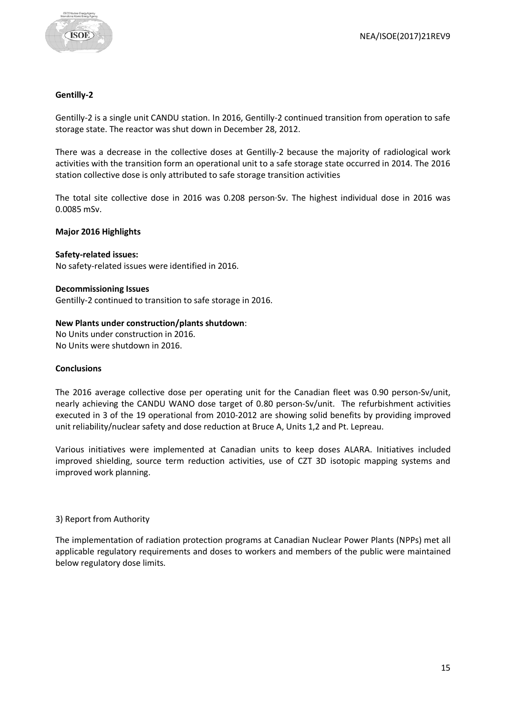

#### **Gentilly-2**

Gentilly-2 is a single unit CANDU station. In 2016, Gentilly-2 continued transition from operation to safe storage state. The reactor was shut down in December 28, 2012.

There was a decrease in the collective doses at Gentilly-2 because the majority of radiological work activities with the transition form an operational unit to a safe storage state occurred in 2014. The 2016 station collective dose is only attributed to safe storage transition activities

The total site collective dose in 2016 was 0.208 person·Sv. The highest individual dose in 2016 was 0.0085 mSv.

#### **Major 2016 Highlights**

#### **Safety-related issues:**

No safety-related issues were identified in 2016.

#### **Decommissioning Issues**

Gentilly-2 continued to transition to safe storage in 2016.

#### **New Plants under construction/plants shutdown**:

No Units under construction in 2016. No Units were shutdown in 2016.

#### **Conclusions**

The 2016 average collective dose per operating unit for the Canadian fleet was 0.90 person-Sv/unit, nearly achieving the CANDU WANO dose target of 0.80 person-Sv/unit. The refurbishment activities executed in 3 of the 19 operational from 2010-2012 are showing solid benefits by providing improved unit reliability/nuclear safety and dose reduction at Bruce A, Units 1,2 and Pt. Lepreau.

Various initiatives were implemented at Canadian units to keep doses ALARA. Initiatives included improved shielding, source term reduction activities, use of CZT 3D isotopic mapping systems and improved work planning.

#### 3) Report from Authority

The implementation of radiation protection programs at Canadian Nuclear Power Plants (NPPs) met all applicable regulatory requirements and doses to workers and members of the public were maintained below regulatory dose limits.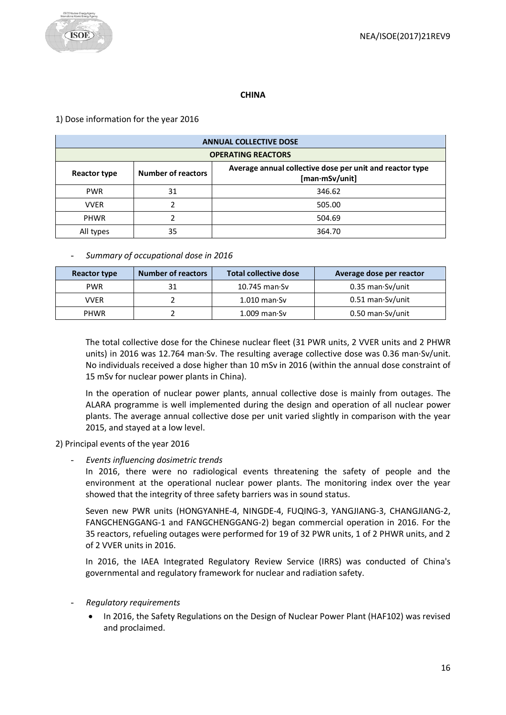

# **CHINA**

# <span id="page-15-0"></span>1) Dose information for the year 2016

| <b>ANNUAL COLLECTIVE DOSE</b> |                           |                                                                            |  |  |  |
|-------------------------------|---------------------------|----------------------------------------------------------------------------|--|--|--|
|                               | <b>OPERATING REACTORS</b> |                                                                            |  |  |  |
| Reactor type                  | <b>Number of reactors</b> | Average annual collective dose per unit and reactor type<br>[man·mSv/unit] |  |  |  |
| <b>PWR</b>                    | 31                        | 346.62                                                                     |  |  |  |
| <b>VVER</b>                   | 2                         | 505.00                                                                     |  |  |  |
| <b>PHWR</b>                   |                           | 504.69                                                                     |  |  |  |
| All types                     | 35                        | 364.70                                                                     |  |  |  |

# - *Summary of occupational dose in 2016*

| <b>Reactor type</b> | <b>Number of reactors</b> | <b>Total collective dose</b> | Average dose per reactor   |
|---------------------|---------------------------|------------------------------|----------------------------|
| <b>PWR</b>          | 31                        | $10.745$ man $\cdot$ Sv      | 0.35 man Sv/unit           |
| <b>VVER</b>         |                           | $1.010$ man $\cdot$ Sv       | $0.51$ man $\cdot$ Sv/unit |
| <b>PHWR</b>         |                           | $1.009$ man $\cdot$ Sv       | 0.50 man Sv/unit           |

The total collective dose for the Chinese nuclear fleet (31 PWR units, 2 VVER units and 2 PHWR units) in 2016 was 12.764 man·Sv. The resulting average collective dose was 0.36 man·Sv/unit. No individuals received a dose higher than 10 mSv in 2016 (within the annual dose constraint of 15 mSv for nuclear power plants in China).

In the operation of nuclear power plants, annual collective dose is mainly from outages. The ALARA programme is well implemented during the design and operation of all nuclear power plants. The average annual collective dose per unit varied slightly in comparison with the year 2015, and stayed at a low level.

2) Principal events of the year 2016

- *Events influencing dosimetric trends*

In 2016, there were no radiological events threatening the safety of people and the environment at the operational nuclear power plants. The monitoring index over the year showed that the integrity of three safety barriers was in sound status.

Seven new PWR units (HONGYANHE-4, NINGDE-4, FUQING-3, YANGJIANG-3, CHANGJIANG-2, FANGCHENGGANG-1 and FANGCHENGGANG-2) began commercial operation in 2016. For the 35 reactors, refueling outages were performed for 19 of 32 PWR units, 1 of 2 PHWR units, and 2 of 2 VVER units in 2016.

In 2016, the IAEA Integrated Regulatory Review Service (IRRS) was conducted of China's governmental and regulatory framework for nuclear and radiation safety.

- *Regulatory requirements*
	- In 2016, the Safety Regulations on the Design of Nuclear Power Plant (HAF102) was revised and proclaimed.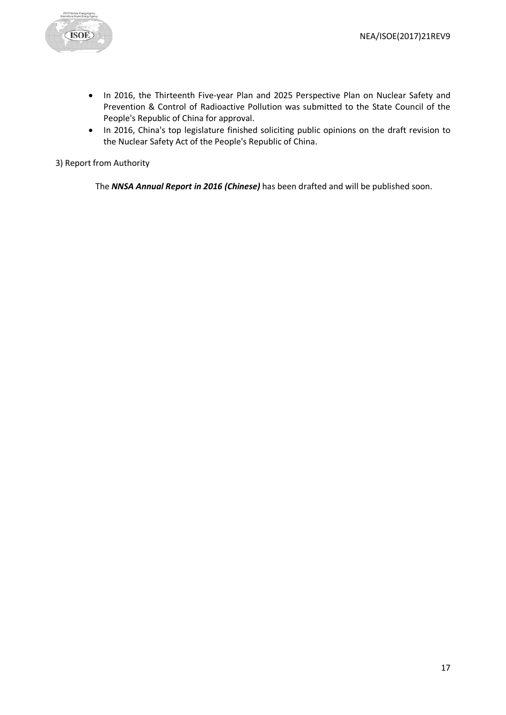

- In 2016, the Thirteenth Five-year Plan and 2025 Perspective Plan on Nuclear Safety and Prevention & Control of Radioactive Pollution was submitted to the State Council of the People's Republic of China for approval.
- In 2016, China's top legislature finished soliciting public opinions on the draft revision to the Nuclear Safety Act of the People's Republic of China.

3) Report from Authority

The *NNSA Annual Report in 2016 (Chinese)* has been drafted and will be published soon.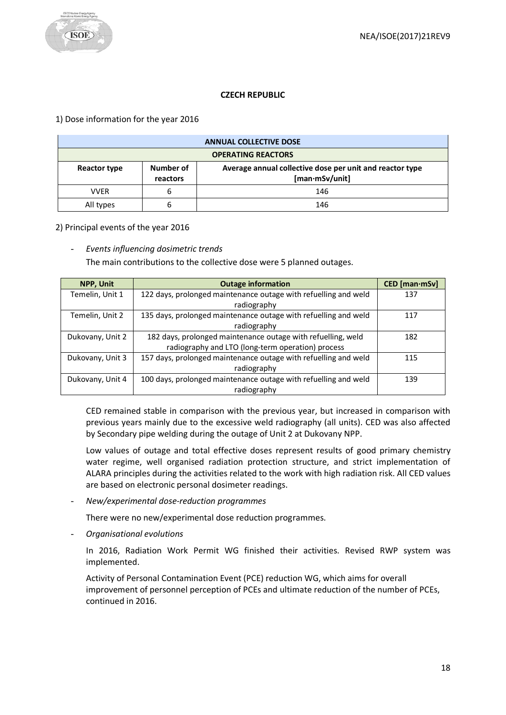# **CZECH REPUBLIC**

#### <span id="page-17-0"></span>1) Dose information for the year 2016

| <b>ANNUAL COLLECTIVE DOSE</b>                                                                                       |   |     |  |
|---------------------------------------------------------------------------------------------------------------------|---|-----|--|
| <b>OPERATING REACTORS</b>                                                                                           |   |     |  |
| Number of<br>Average annual collective dose per unit and reactor type<br>Reactor type<br>[man·mSv/unit]<br>reactors |   |     |  |
| VVER                                                                                                                | ь | 146 |  |
| All types                                                                                                           |   | 146 |  |

#### 2) Principal events of the year 2016

#### - *Events influencing dosimetric trends*

The main contributions to the collective dose were 5 planned outages.

| <b>NPP, Unit</b> | <b>Outage information</b>                                       | CED [man·mSv] |
|------------------|-----------------------------------------------------------------|---------------|
| Temelin, Unit 1  | 122 days, prolonged maintenance outage with refuelling and weld | 137           |
|                  | radiography                                                     |               |
| Temelin, Unit 2  | 135 days, prolonged maintenance outage with refuelling and weld | 117           |
|                  | radiography                                                     |               |
| Dukovany, Unit 2 | 182 days, prolonged maintenance outage with refuelling, weld    | 182           |
|                  | radiography and LTO (long-term operation) process               |               |
| Dukovany, Unit 3 | 157 days, prolonged maintenance outage with refuelling and weld | 115           |
|                  | radiography                                                     |               |
| Dukovany, Unit 4 | 100 days, prolonged maintenance outage with refuelling and weld | 139           |
|                  | radiography                                                     |               |

CED remained stable in comparison with the previous year, but increased in comparison with previous years mainly due to the excessive weld radiography (all units). CED was also affected by Secondary pipe welding during the outage of Unit 2 at Dukovany NPP.

Low values of outage and total effective doses represent results of good primary chemistry water regime, well organised radiation protection structure, and strict implementation of ALARA principles during the activities related to the work with high radiation risk. All CED values are based on electronic personal dosimeter readings.

- *New/experimental dose-reduction programmes*

There were no new/experimental dose reduction programmes.

- *Organisational evolutions*

In 2016, Radiation Work Permit WG finished their activities. Revised RWP system was implemented.

Activity of Personal Contamination Event (PCE) reduction WG, which aims for overall improvement of personnel perception of PCEs and ultimate reduction of the number of PCEs, continued in 2016.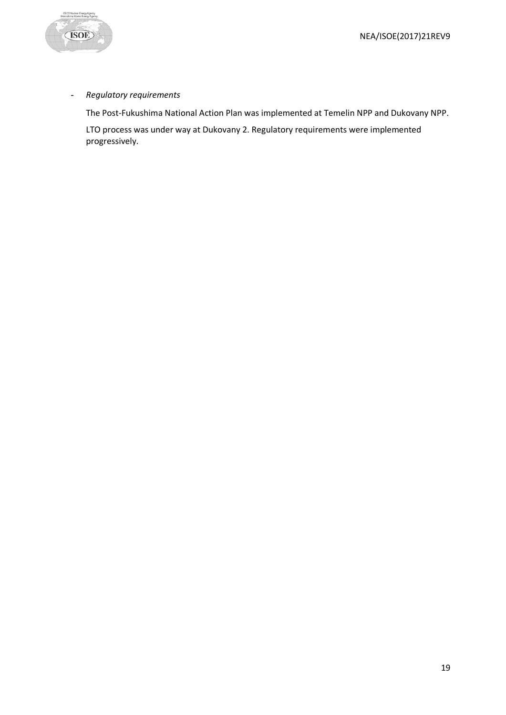

# - *Regulatory requirements*

The Post-Fukushima National Action Plan was implemented at Temelin NPP and Dukovany NPP.

LTO process was under way at Dukovany 2. Regulatory requirements were implemented progressively.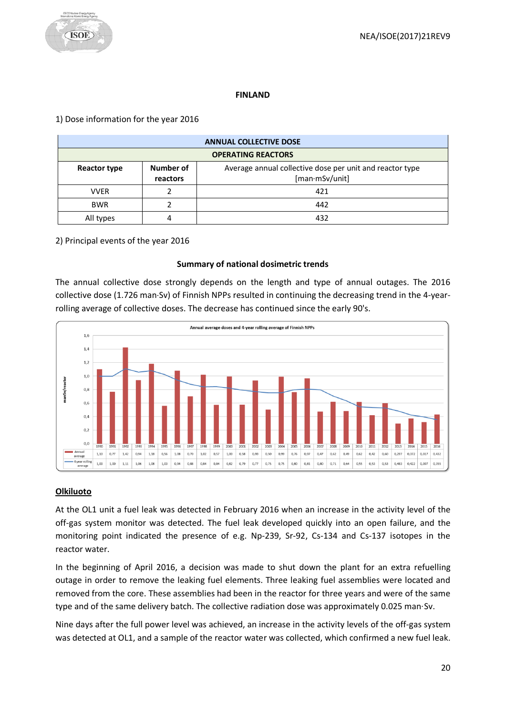#### **FINLAND**

# <span id="page-19-0"></span>1) Dose information for the year 2016

| <b>ANNUAL COLLECTIVE DOSE</b> |                                                                                                     |     |  |  |  |
|-------------------------------|-----------------------------------------------------------------------------------------------------|-----|--|--|--|
|                               | <b>OPERATING REACTORS</b>                                                                           |     |  |  |  |
| Reactor type                  | Number of<br>Average annual collective dose per unit and reactor type<br>[man·mSv/unit]<br>reactors |     |  |  |  |
| <b>VVER</b>                   |                                                                                                     | 421 |  |  |  |
| <b>BWR</b>                    |                                                                                                     | 442 |  |  |  |
| All types                     |                                                                                                     | 432 |  |  |  |

# 2) Principal events of the year 2016

#### **Summary of national dosimetric trends**

The annual collective dose strongly depends on the length and type of annual outages. The 2016 collective dose (1.726 man·Sv) of Finnish NPPs resulted in continuing the decreasing trend in the 4-yearrolling average of collective doses. The decrease has continued since the early 90's.



# **Olkiluoto**

At the OL1 unit a fuel leak was detected in February 2016 when an increase in the activity level of the off-gas system monitor was detected. The fuel leak developed quickly into an open failure, and the monitoring point indicated the presence of e.g. Np-239, Sr-92, Cs-134 and Cs-137 isotopes in the reactor water.

In the beginning of April 2016, a decision was made to shut down the plant for an extra refuelling outage in order to remove the leaking fuel elements. Three leaking fuel assemblies were located and removed from the core. These assemblies had been in the reactor for three years and were of the same type and of the same delivery batch. The collective radiation dose was approximately 0.025 man·Sv.

Nine days after the full power level was achieved, an increase in the activity levels of the off-gas system was detected at OL1, and a sample of the reactor water was collected, which confirmed a new fuel leak.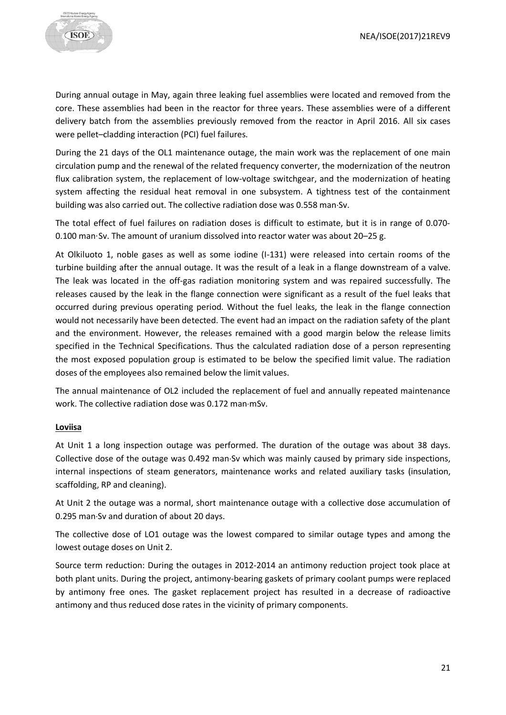

During annual outage in May, again three leaking fuel assemblies were located and removed from the core. These assemblies had been in the reactor for three years. These assemblies were of a different delivery batch from the assemblies previously removed from the reactor in April 2016. All six cases were pellet–cladding interaction (PCI) fuel failures.

During the 21 days of the OL1 maintenance outage, the main work was the replacement of one main circulation pump and the renewal of the related frequency converter, the modernization of the neutron flux calibration system, the replacement of low-voltage switchgear, and the modernization of heating system affecting the residual heat removal in one subsystem. A tightness test of the containment building was also carried out. The collective radiation dose was 0.558 man·Sv.

The total effect of fuel failures on radiation doses is difficult to estimate, but it is in range of 0.070- 0.100 man·Sv. The amount of uranium dissolved into reactor water was about 20–25 g.

At Olkiluoto 1, noble gases as well as some iodine (I-131) were released into certain rooms of the turbine building after the annual outage. It was the result of a leak in a flange downstream of a valve. The leak was located in the off-gas radiation monitoring system and was repaired successfully. The releases caused by the leak in the flange connection were significant as a result of the fuel leaks that occurred during previous operating period. Without the fuel leaks, the leak in the flange connection would not necessarily have been detected. The event had an impact on the radiation safety of the plant and the environment. However, the releases remained with a good margin below the release limits specified in the Technical Specifications. Thus the calculated radiation dose of a person representing the most exposed population group is estimated to be below the specified limit value. The radiation doses of the employees also remained below the limit values.

The annual maintenance of OL2 included the replacement of fuel and annually repeated maintenance work. The collective radiation dose was 0.172 man·mSv.

#### **Loviisa**

At Unit 1 a long inspection outage was performed. The duration of the outage was about 38 days. Collective dose of the outage was 0.492 man·Sv which was mainly caused by primary side inspections, internal inspections of steam generators, maintenance works and related auxiliary tasks (insulation, scaffolding, RP and cleaning).

At Unit 2 the outage was a normal, short maintenance outage with a collective dose accumulation of 0.295 man·Sv and duration of about 20 days.

The collective dose of LO1 outage was the lowest compared to similar outage types and among the lowest outage doses on Unit 2.

Source term reduction: During the outages in 2012-2014 an antimony reduction project took place at both plant units. During the project, antimony-bearing gaskets of primary coolant pumps were replaced by antimony free ones. The gasket replacement project has resulted in a decrease of radioactive antimony and thus reduced dose rates in the vicinity of primary components.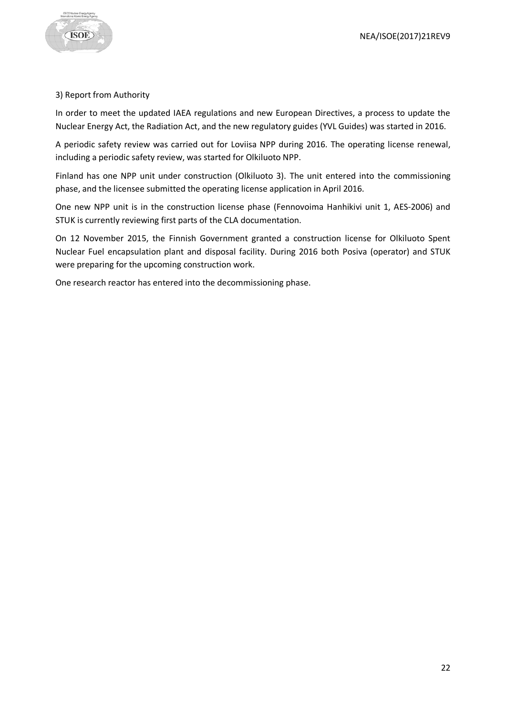

# 3) Report from Authority

In order to meet the updated IAEA regulations and new European Directives, a process to update the Nuclear Energy Act, the Radiation Act, and the new regulatory guides (YVL Guides) was started in 2016.

A periodic safety review was carried out for Loviisa NPP during 2016. The operating license renewal, including a periodic safety review, was started for Olkiluoto NPP.

Finland has one NPP unit under construction (Olkiluoto 3). The unit entered into the commissioning phase, and the licensee submitted the operating license application in April 2016.

One new NPP unit is in the construction license phase (Fennovoima Hanhikivi unit 1, AES-2006) and STUK is currently reviewing first parts of the CLA documentation.

On 12 November 2015, the Finnish Government granted a construction license for Olkiluoto Spent Nuclear Fuel encapsulation plant and disposal facility. During 2016 both Posiva (operator) and STUK were preparing for the upcoming construction work.

One research reactor has entered into the decommissioning phase.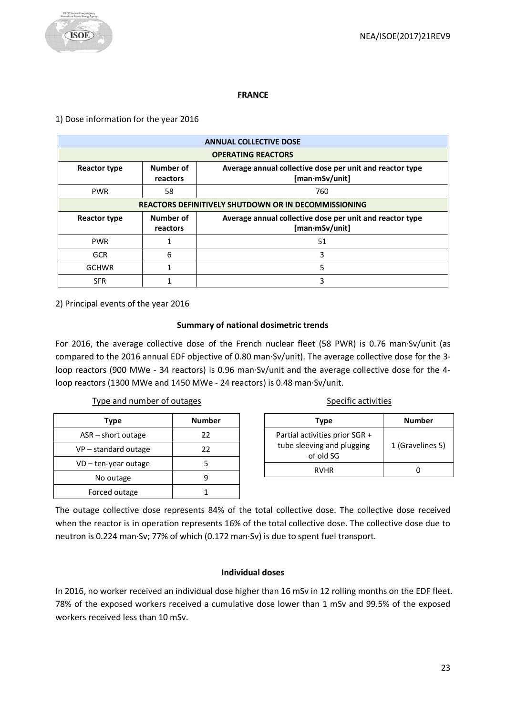#### **FRANCE**

#### <span id="page-22-0"></span>1) Dose information for the year 2016

|                     | <b>ANNUAL COLLECTIVE DOSE</b>                               |                                                                                   |  |  |  |
|---------------------|-------------------------------------------------------------|-----------------------------------------------------------------------------------|--|--|--|
|                     | <b>OPERATING REACTORS</b>                                   |                                                                                   |  |  |  |
| <b>Reactor type</b> | Number of<br>reactors                                       | Average annual collective dose per unit and reactor type<br>$[man\cdot mSv/unit]$ |  |  |  |
| <b>PWR</b>          | 58                                                          | 760                                                                               |  |  |  |
|                     | <b>REACTORS DEFINITIVELY SHUTDOWN OR IN DECOMMISSIONING</b> |                                                                                   |  |  |  |
| <b>Reactor type</b> | Number of<br>reactors                                       | Average annual collective dose per unit and reactor type<br>[man·mSv/unit]        |  |  |  |
| <b>PWR</b>          |                                                             | 51                                                                                |  |  |  |
| <b>GCR</b>          | 6                                                           | 3                                                                                 |  |  |  |
| <b>GCHWR</b>        |                                                             | 5                                                                                 |  |  |  |
| <b>SFR</b>          |                                                             | 3                                                                                 |  |  |  |

2) Principal events of the year 2016

# **Summary of national dosimetric trends**

For 2016, the average collective dose of the French nuclear fleet (58 PWR) is 0.76 man·Sv/unit (as compared to the 2016 annual EDF objective of 0.80 man·Sv/unit). The average collective dose for the 3 loop reactors (900 MWe - 34 reactors) is 0.96 man·Sv/unit and the average collective dose for the 4 loop reactors (1300 MWe and 1450 MWe - 24 reactors) is 0.48 man·Sv/unit.

Type and number of outages

| Type                   | <b>Number</b> |
|------------------------|---------------|
| $ASR - short$ outage   | 22            |
| $VP$ – standard outage | 22            |
| $VD$ – ten-year outage |               |
| No outage              |               |
| Forced outage          |               |

|  | Specific activities |  |  |  |  |  |
|--|---------------------|--|--|--|--|--|
|  |                     |  |  |  |  |  |

| Type                                                                      | <b>Number</b>    |
|---------------------------------------------------------------------------|------------------|
| Partial activities prior SGR +<br>tube sleeving and plugging<br>of old SG | 1 (Gravelines 5) |
| <b>RVHR</b>                                                               |                  |

The outage collective dose represents 84% of the total collective dose. The collective dose received when the reactor is in operation represents 16% of the total collective dose. The collective dose due to neutron is 0.224 man·Sv; 77% of which (0.172 man·Sv) is due to spent fuel transport.

# **Individual doses**

In 2016, no worker received an individual dose higher than 16 mSv in 12 rolling months on the EDF fleet. 78% of the exposed workers received a cumulative dose lower than 1 mSv and 99.5% of the exposed workers received less than 10 mSv.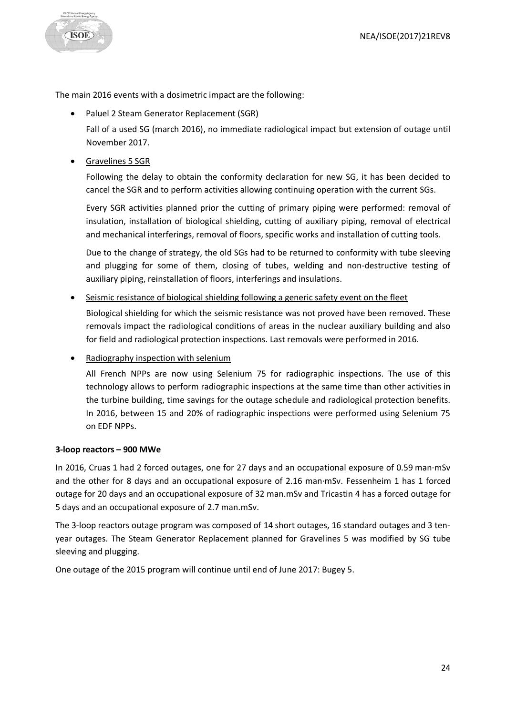

The main 2016 events with a dosimetric impact are the following:

• Paluel 2 Steam Generator Replacement (SGR)

Fall of a used SG (march 2016), no immediate radiological impact but extension of outage until November 2017.

• Gravelines 5 SGR

Following the delay to obtain the conformity declaration for new SG, it has been decided to cancel the SGR and to perform activities allowing continuing operation with the current SGs.

Every SGR activities planned prior the cutting of primary piping were performed: removal of insulation, installation of biological shielding, cutting of auxiliary piping, removal of electrical and mechanical interferings, removal of floors, specific works and installation of cutting tools.

Due to the change of strategy, the old SGs had to be returned to conformity with tube sleeving and plugging for some of them, closing of tubes, welding and non-destructive testing of auxiliary piping, reinstallation of floors, interferings and insulations.

• Seismic resistance of biological shielding following a generic safety event on the fleet

Biological shielding for which the seismic resistance was not proved have been removed. These removals impact the radiological conditions of areas in the nuclear auxiliary building and also for field and radiological protection inspections. Last removals were performed in 2016.

• Radiography inspection with selenium

All French NPPs are now using Selenium 75 for radiographic inspections. The use of this technology allows to perform radiographic inspections at the same time than other activities in the turbine building, time savings for the outage schedule and radiological protection benefits. In 2016, between 15 and 20% of radiographic inspections were performed using Selenium 75 on EDF NPPs.

# **3-loop reactors – 900 MWe**

In 2016, Cruas 1 had 2 forced outages, one for 27 days and an occupational exposure of 0.59 man·mSv and the other for 8 days and an occupational exposure of 2.16 man·mSv. Fessenheim 1 has 1 forced outage for 20 days and an occupational exposure of 32 man.mSv and Tricastin 4 has a forced outage for 5 days and an occupational exposure of 2.7 man.mSv.

The 3-loop reactors outage program was composed of 14 short outages, 16 standard outages and 3 tenyear outages. The Steam Generator Replacement planned for Gravelines 5 was modified by SG tube sleeving and plugging.

One outage of the 2015 program will continue until end of June 2017: Bugey 5.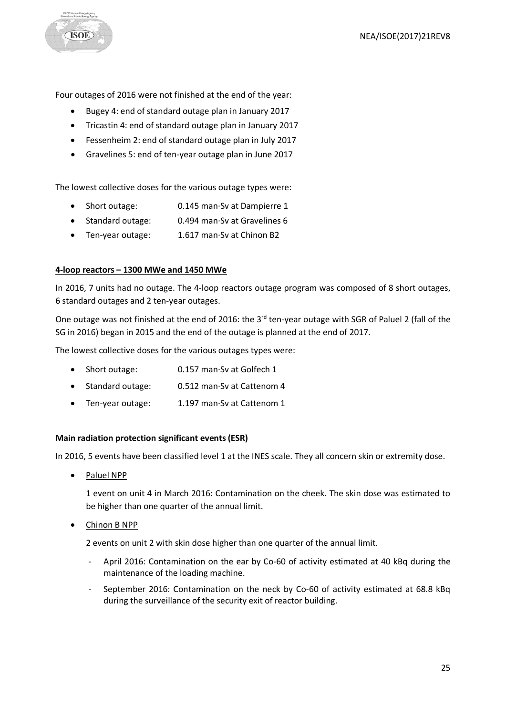**ISOE** 

Four outages of 2016 were not finished at the end of the year:

- Bugey 4: end of standard outage plan in January 2017
- Tricastin 4: end of standard outage plan in January 2017
- Fessenheim 2: end of standard outage plan in July 2017
- Gravelines 5: end of ten-year outage plan in June 2017

The lowest collective doses for the various outage types were:

- Short outage: 0.145 man·Sv at Dampierre 1
- Standard outage: 0.494 man·Sv at Gravelines 6
- Ten-year outage: 1.617 man·Sv at Chinon B2

# **4-loop reactors – 1300 MWe and 1450 MWe**

In 2016, 7 units had no outage. The 4-loop reactors outage program was composed of 8 short outages, 6 standard outages and 2 ten-year outages.

One outage was not finished at the end of 2016: the 3<sup>rd</sup> ten-year outage with SGR of Paluel 2 (fall of the SG in 2016) began in 2015 and the end of the outage is planned at the end of 2017.

The lowest collective doses for the various outages types were:

- Short outage: 0.157 man·Sv at Golfech 1
- Standard outage: 0.512 man·Sv at Cattenom 4
- Ten-year outage: 1.197 man·Sv at Cattenom 1

# **Main radiation protection significant events (ESR)**

In 2016, 5 events have been classified level 1 at the INES scale. They all concern skin or extremity dose.

• Paluel NPP

1 event on unit 4 in March 2016: Contamination on the cheek. The skin dose was estimated to be higher than one quarter of the annual limit.

• Chinon B NPP

2 events on unit 2 with skin dose higher than one quarter of the annual limit.

- April 2016: Contamination on the ear by Co-60 of activity estimated at 40 kBq during the maintenance of the loading machine.
- September 2016: Contamination on the neck by Co-60 of activity estimated at 68.8 kBq during the surveillance of the security exit of reactor building.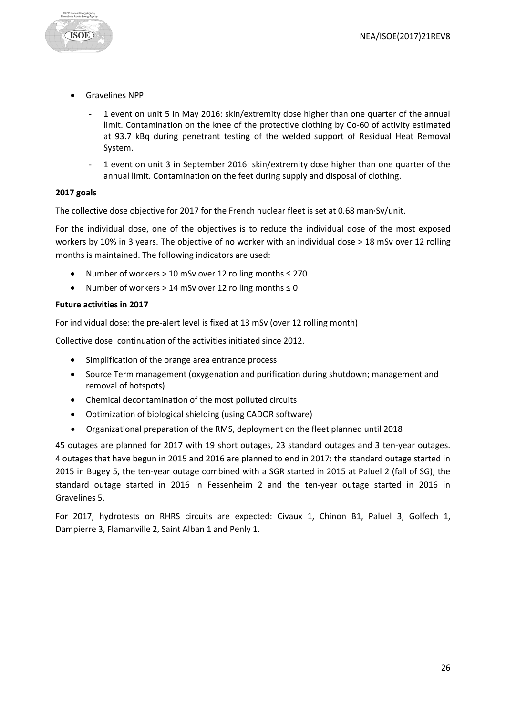

- 1 event on unit 5 in May 2016: skin/extremity dose higher than one quarter of the annual limit. Contamination on the knee of the protective clothing by Co-60 of activity estimated at 93.7 kBq during penetrant testing of the welded support of Residual Heat Removal System.
- 1 event on unit 3 in September 2016: skin/extremity dose higher than one quarter of the annual limit. Contamination on the feet during supply and disposal of clothing.

#### **2017 goals**

**ISOE** 

The collective dose objective for 2017 for the French nuclear fleet is set at 0.68 man·Sv/unit.

For the individual dose, one of the objectives is to reduce the individual dose of the most exposed workers by 10% in 3 years. The objective of no worker with an individual dose > 18 mSv over 12 rolling months is maintained. The following indicators are used:

- Number of workers > 10 mSv over 12 rolling months ≤ 270
- Number of workers > 14 mSv over 12 rolling months ≤ 0

#### **Future activities in 2017**

For individual dose: the pre-alert level is fixed at 13 mSv (over 12 rolling month)

Collective dose: continuation of the activities initiated since 2012.

- Simplification of the orange area entrance process
- Source Term management (oxygenation and purification during shutdown; management and removal of hotspots)
- Chemical decontamination of the most polluted circuits
- Optimization of biological shielding (using CADOR software)
- Organizational preparation of the RMS, deployment on the fleet planned until 2018

45 outages are planned for 2017 with 19 short outages, 23 standard outages and 3 ten-year outages. 4 outages that have begun in 2015 and 2016 are planned to end in 2017: the standard outage started in 2015 in Bugey 5, the ten-year outage combined with a SGR started in 2015 at Paluel 2 (fall of SG), the standard outage started in 2016 in Fessenheim 2 and the ten-year outage started in 2016 in Gravelines 5.

For 2017, hydrotests on RHRS circuits are expected: Civaux 1, Chinon B1, Paluel 3, Golfech 1, Dampierre 3, Flamanville 2, Saint Alban 1 and Penly 1.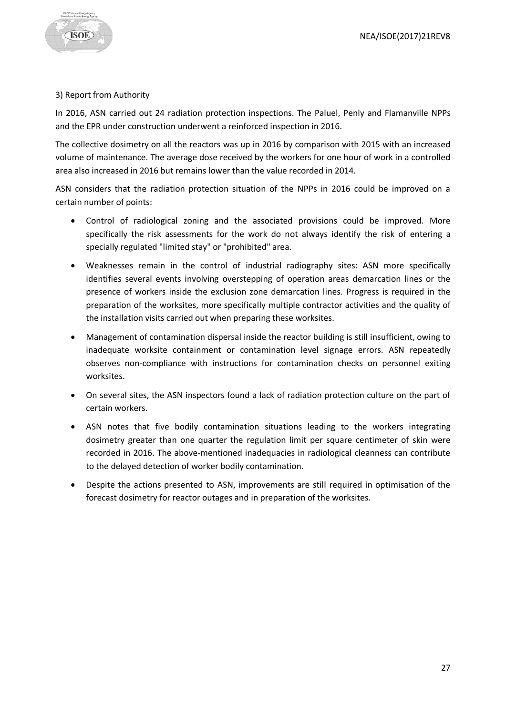

# 3) Report from Authority

In 2016, ASN carried out 24 radiation protection inspections. The Paluel, Penly and Flamanville NPPs and the EPR under construction underwent a reinforced inspection in 2016.

The collective dosimetry on all the reactors was up in 2016 by comparison with 2015 with an increased volume of maintenance. The average dose received by the workers for one hour of work in a controlled area also increased in 2016 but remains lower than the value recorded in 2014.

ASN considers that the radiation protection situation of the NPPs in 2016 could be improved on a certain number of points:

- Control of radiological zoning and the associated provisions could be improved. More specifically the risk assessments for the work do not always identify the risk of entering a specially regulated "limited stay" or "prohibited" area.
- Weaknesses remain in the control of industrial radiography sites: ASN more specifically identifies several events involving overstepping of operation areas demarcation lines or the presence of workers inside the exclusion zone demarcation lines. Progress is required in the preparation of the worksites, more specifically multiple contractor activities and the quality of the installation visits carried out when preparing these worksites.
- Management of contamination dispersal inside the reactor building is still insufficient, owing to inadequate worksite containment or contamination level signage errors. ASN repeatedly observes non-compliance with instructions for contamination checks on personnel exiting worksites.
- On several sites, the ASN inspectors found a lack of radiation protection culture on the part of certain workers.
- ASN notes that five bodily contamination situations leading to the workers integrating dosimetry greater than one quarter the regulation limit per square centimeter of skin were recorded in 2016. The above-mentioned inadequacies in radiological cleanness can contribute to the delayed detection of worker bodily contamination.
- Despite the actions presented to ASN, improvements are still required in optimisation of the forecast dosimetry for reactor outages and in preparation of the worksites.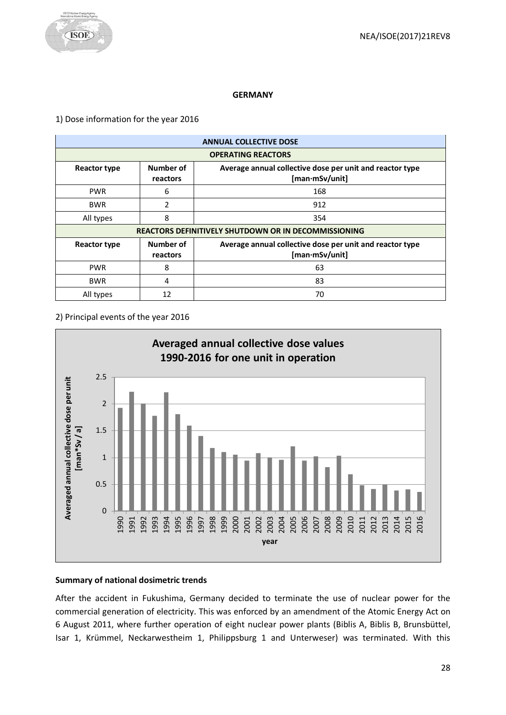#### **GERMANY**

#### <span id="page-27-0"></span>1) Dose information for the year 2016

| <b>ANNUAL COLLECTIVE DOSE</b> |                                                                                                     |                                                             |  |  |  |
|-------------------------------|-----------------------------------------------------------------------------------------------------|-------------------------------------------------------------|--|--|--|
|                               | <b>OPERATING REACTORS</b>                                                                           |                                                             |  |  |  |
| <b>Reactor type</b>           | Number of<br>Average annual collective dose per unit and reactor type<br>[man·mSv/unit]<br>reactors |                                                             |  |  |  |
| <b>PWR</b>                    | 6                                                                                                   | 168                                                         |  |  |  |
| <b>BWR</b>                    | 2                                                                                                   | 912                                                         |  |  |  |
| All types                     | 8                                                                                                   | 354                                                         |  |  |  |
|                               |                                                                                                     | <b>REACTORS DEFINITIVELY SHUTDOWN OR IN DECOMMISSIONING</b> |  |  |  |
| <b>Reactor type</b>           | Number of<br>Average annual collective dose per unit and reactor type<br>[man·mSv/unit]<br>reactors |                                                             |  |  |  |
| <b>PWR</b>                    | 8                                                                                                   | 63                                                          |  |  |  |
| <b>BWR</b>                    | 4                                                                                                   | 83                                                          |  |  |  |
| All types                     | 12                                                                                                  | 70                                                          |  |  |  |

#### 2) Principal events of the year 2016



# **Summary of national dosimetric trends**

After the accident in Fukushima, Germany decided to terminate the use of nuclear power for the commercial generation of electricity. This was enforced by an amendment of the Atomic Energy Act on 6 August 2011, where further operation of eight nuclear power plants (Biblis A, Biblis B, Brunsbüttel, Isar 1, Krümmel, Neckarwestheim 1, Philippsburg 1 and Unterweser) was terminated. With this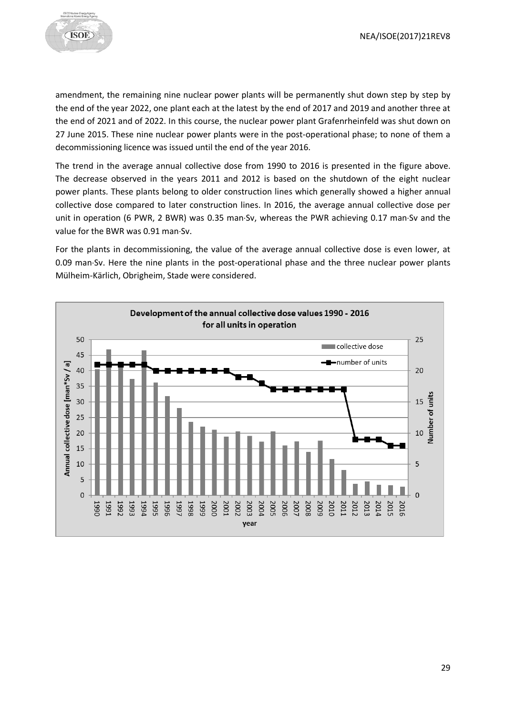

amendment, the remaining nine nuclear power plants will be permanently shut down step by step by the end of the year 2022, one plant each at the latest by the end of 2017 and 2019 and another three at the end of 2021 and of 2022. In this course, the nuclear power plant Grafenrheinfeld was shut down on 27 June 2015. These nine nuclear power plants were in the post-operational phase; to none of them a decommissioning licence was issued until the end of the year 2016.

The trend in the average annual collective dose from 1990 to 2016 is presented in the figure above. The decrease observed in the years 2011 and 2012 is based on the shutdown of the eight nuclear power plants. These plants belong to older construction lines which generally showed a higher annual collective dose compared to later construction lines. In 2016, the average annual collective dose per unit in operation (6 PWR, 2 BWR) was 0.35 man·Sv, whereas the PWR achieving 0.17 man·Sv and the value for the BWR was 0.91 man·Sv.

For the plants in decommissioning, the value of the average annual collective dose is even lower, at 0.09 man·Sv. Here the nine plants in the post-operational phase and the three nuclear power plants Mülheim-Kärlich, Obrigheim, Stade were considered.

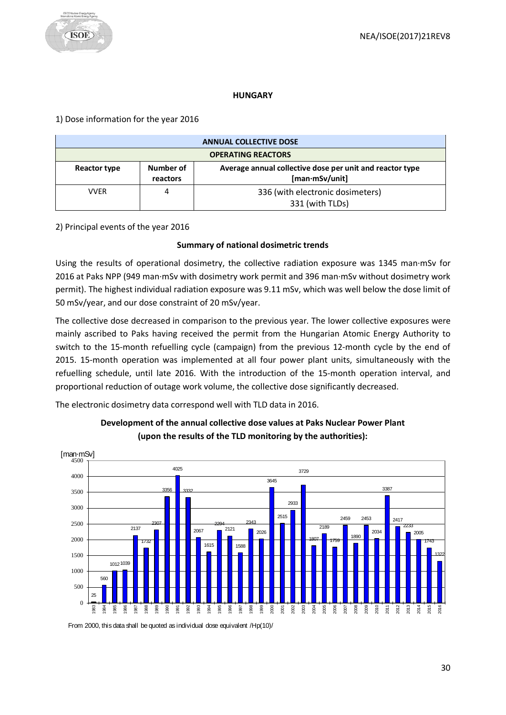#### **HUNGARY**

# <span id="page-29-0"></span>1) Dose information for the year 2016

| <b>ANNUAL COLLECTIVE DOSE</b>                                                                                       |  |                                                     |  |
|---------------------------------------------------------------------------------------------------------------------|--|-----------------------------------------------------|--|
| <b>OPERATING REACTORS</b>                                                                                           |  |                                                     |  |
| Number of<br>Average annual collective dose per unit and reactor type<br>Reactor type<br>[man·mSv/unit]<br>reactors |  |                                                     |  |
| VVER                                                                                                                |  | 336 (with electronic dosimeters)<br>331 (with TLDs) |  |

2) Principal events of the year 2016

# **Summary of national dosimetric trends**

Using the results of operational dosimetry, the collective radiation exposure was 1345 man·mSv for 2016 at Paks NPP (949 man·mSv with dosimetry work permit and 396 man·mSv without dosimetry work permit). The highest individual radiation exposure was 9.11 mSv, which was well below the dose limit of 50 mSv/year, and our dose constraint of 20 mSv/year.

The collective dose decreased in comparison to the previous year. The lower collective exposures were mainly ascribed to Paks having received the permit from the Hungarian Atomic Energy Authority to switch to the 15-month refuelling cycle (campaign) from the previous 12-month cycle by the end of 2015. 15-month operation was implemented at all four power plant units, simultaneously with the refuelling schedule, until late 2016. With the introduction of the 15-month operation interval, and proportional reduction of outage work volume, the collective dose significantly decreased.

The electronic dosimetry data correspond well with TLD data in 2016.



# **Development of the annual collective dose values at Paks Nuclear Power Plant (upon the results of the TLD monitoring by the authorities):**

From 2000, this data shall be quoted as individual dose equivalent /Hp(10)/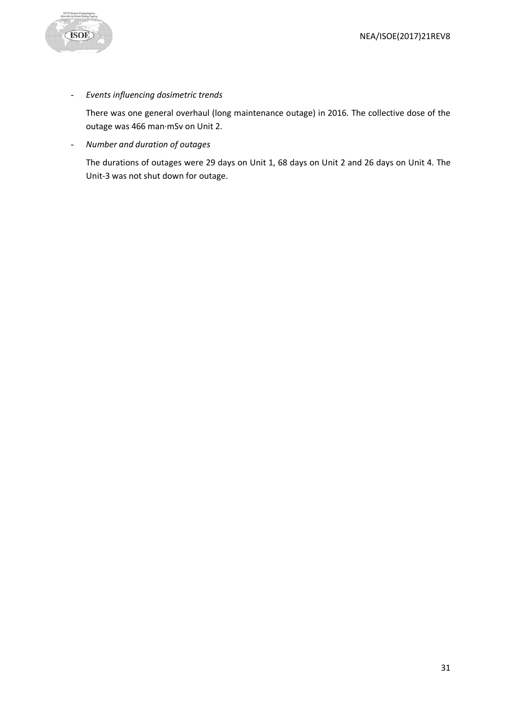

- *Events influencing dosimetric trends*

There was one general overhaul (long maintenance outage) in 2016. The collective dose of the outage was 466 man·mSv on Unit 2.

- *Number and duration of outages*

The durations of outages were 29 days on Unit 1, 68 days on Unit 2 and 26 days on Unit 4. The Unit-3 was not shut down for outage.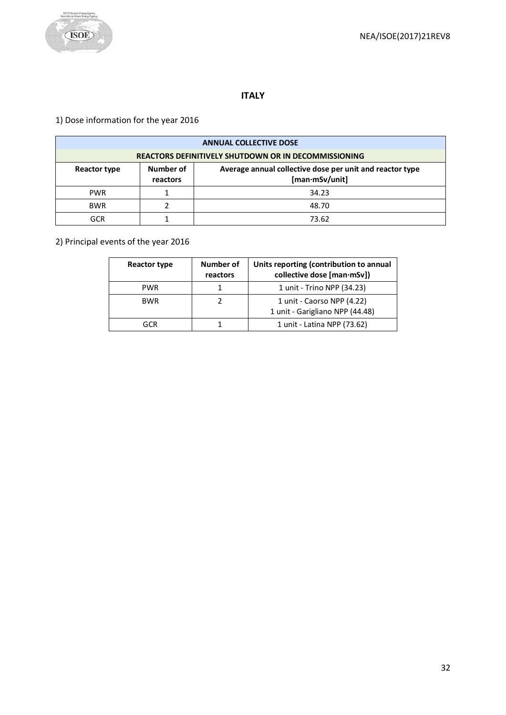

# **ITALY**

# <span id="page-31-0"></span>1) Dose information for the year 2016

| <b>ANNUAL COLLECTIVE DOSE</b>                |                                                             |                                                                            |  |  |
|----------------------------------------------|-------------------------------------------------------------|----------------------------------------------------------------------------|--|--|
|                                              | <b>REACTORS DEFINITIVELY SHUTDOWN OR IN DECOMMISSIONING</b> |                                                                            |  |  |
| Number of<br><b>Reactor type</b><br>reactors |                                                             | Average annual collective dose per unit and reactor type<br>[man·mSv/unit] |  |  |
| <b>PWR</b>                                   |                                                             | 34.23                                                                      |  |  |
| <b>BWR</b>                                   |                                                             | 48.70                                                                      |  |  |
| GCR                                          |                                                             | 73.62                                                                      |  |  |

# 2) Principal events of the year 2016

| <b>Reactor type</b> | Number of<br>reactors | Units reporting (contribution to annual<br>collective dose [man·mSv]) |
|---------------------|-----------------------|-----------------------------------------------------------------------|
| <b>PWR</b>          |                       | 1 unit - Trino NPP (34.23)                                            |
| <b>BWR</b>          |                       | 1 unit - Caorso NPP (4.22)<br>1 unit - Garigliano NPP (44.48)         |
| GCR                 |                       | 1 unit - Latina NPP (73.62)                                           |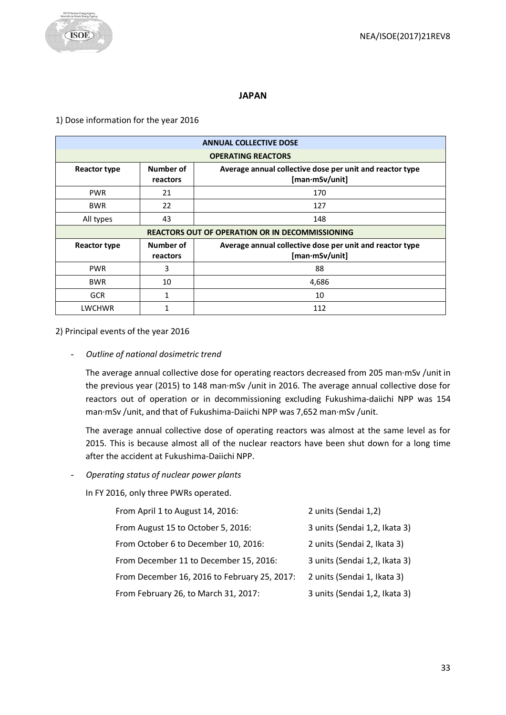# **JAPAN**

# <span id="page-32-0"></span>1) Dose information for the year 2016

| <b>ANNUAL COLLECTIVE DOSE</b>                                                                                       |                              |                                                                            |  |  |
|---------------------------------------------------------------------------------------------------------------------|------------------------------|----------------------------------------------------------------------------|--|--|
|                                                                                                                     |                              | <b>OPERATING REACTORS</b>                                                  |  |  |
| Number of<br>Average annual collective dose per unit and reactor type<br>Reactor type<br>[man·mSv/unit]<br>reactors |                              |                                                                            |  |  |
| <b>PWR</b>                                                                                                          | 21                           | 170                                                                        |  |  |
| <b>BWR</b>                                                                                                          | 22                           | 127                                                                        |  |  |
| All types                                                                                                           | 43                           | 148                                                                        |  |  |
| <b>REACTORS OUT OF OPERATION OR IN DECOMMISSIONING</b>                                                              |                              |                                                                            |  |  |
|                                                                                                                     |                              |                                                                            |  |  |
| Reactor type                                                                                                        | <b>Number of</b><br>reactors | Average annual collective dose per unit and reactor type<br>[man·mSv/unit] |  |  |
| <b>PWR</b>                                                                                                          | 3                            | 88                                                                         |  |  |
| <b>BWR</b>                                                                                                          | 10                           | 4,686                                                                      |  |  |
| <b>GCR</b>                                                                                                          | 1                            | 10                                                                         |  |  |

2) Principal events of the year 2016

- *Outline of national dosimetric trend*

The average annual collective dose for operating reactors decreased from 205 man·mSv /unit in the previous year (2015) to 148 man·mSv /unit in 2016. The average annual collective dose for reactors out of operation or in decommissioning excluding Fukushima-daiichi NPP was 154 man·mSv /unit, and that of Fukushima-Daiichi NPP was 7,652 man·mSv /unit.

The average annual collective dose of operating reactors was almost at the same level as for 2015. This is because almost all of the nuclear reactors have been shut down for a long time after the accident at Fukushima-Daiichi NPP.

- *Operating status of nuclear power plants*

In FY 2016, only three PWRs operated.

| From April 1 to August 14, 2016:             | 2 units (Sendai 1,2)          |
|----------------------------------------------|-------------------------------|
| From August 15 to October 5, 2016:           | 3 units (Sendai 1,2, Ikata 3) |
| From October 6 to December 10, 2016:         | 2 units (Sendai 2, Ikata 3)   |
| From December 11 to December 15, 2016:       | 3 units (Sendai 1,2, Ikata 3) |
| From December 16, 2016 to February 25, 2017: | 2 units (Sendai 1, Ikata 3)   |
| From February 26, to March 31, 2017:         | 3 units (Sendai 1,2, Ikata 3) |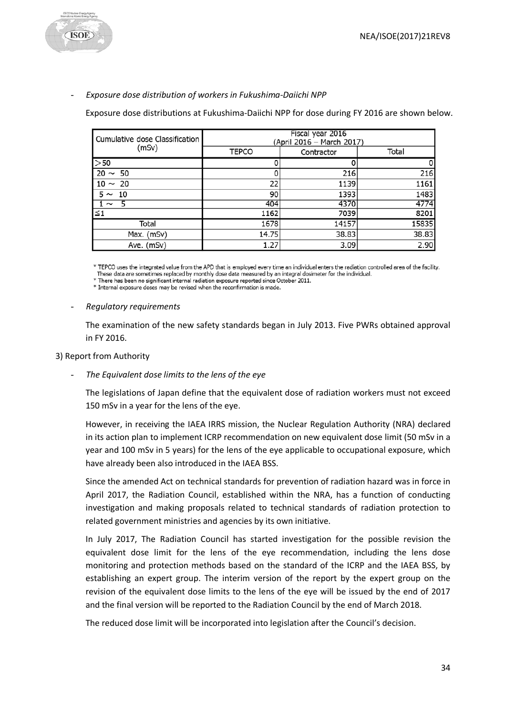

# - *Exposure dose distribution of workers in Fukushima-Daiichi NPP*

Exposure dose distributions at Fukushima-Daiichi NPP for dose during FY 2016 are shown below.

| Cumulative dose Classification | Fiscal year 2016<br>(April 2016 - March 2017) |            |       |  |
|--------------------------------|-----------------------------------------------|------------|-------|--|
| (mSv)                          | <b>TEPCO</b>                                  | Contractor | Total |  |
| >50                            |                                               |            |       |  |
| $20 \sim 50$                   |                                               | 216        | 216   |  |
| $110 \sim 20$                  | 22                                            | 1139       | 1161  |  |
| $5 \sim$<br>- 10               | 90                                            | 1393       | 1483  |  |
|                                | 404                                           | 4370       | 4774  |  |
| $\leq 1$                       | 1162                                          | 7039       | 8201  |  |
| Total                          | 1678                                          | 14157      | 15835 |  |
| Max. (mSv)                     | 14.75                                         | 38.83      | 38.83 |  |
| Ave. (mSv)                     | 1.27                                          | 3.09       | 2.90  |  |

\* TEPCO uses the integrated value from the APD that is employed every time an individual enters the radiation controlled area of the facility.

These data are sometimes replaced by monthly dose data measured by an integral dosimeter for the individual. \* There has been no significant internal radiation exposure reported since October 2011.

\* Internal exposure doses may be revised when the reconfirmation is made.

- *Regulatory requirements*

The examination of the new safety standards began in July 2013. Five PWRs obtained approval in FY 2016.

# 3) Report from Authority

The Equivalent dose limits to the lens of the eye

The legislations of Japan define that the equivalent dose of radiation workers must not exceed 150 mSv in a year for the lens of the eye.

However, in receiving the IAEA IRRS mission, the Nuclear Regulation Authority (NRA) declared in its action plan to implement ICRP recommendation on new equivalent dose limit (50 mSv in a year and 100 mSv in 5 years) for the lens of the eye applicable to occupational exposure, which have already been also introduced in the IAEA BSS.

Since the amended Act on technical standards for prevention of radiation hazard was in force in April 2017, the Radiation Council, established within the NRA, has a function of conducting investigation and making proposals related to technical standards of radiation protection to related government ministries and agencies by its own initiative.

In July 2017, The Radiation Council has started investigation for the possible revision the equivalent dose limit for the lens of the eye recommendation, including the lens dose monitoring and protection methods based on the standard of the ICRP and the IAEA BSS, by establishing an expert group. The interim version of the report by the expert group on the revision of the equivalent dose limits to the lens of the eye will be issued by the end of 2017 and the final version will be reported to the Radiation Council by the end of March 2018.

The reduced dose limit will be incorporated into legislation after the Council's decision.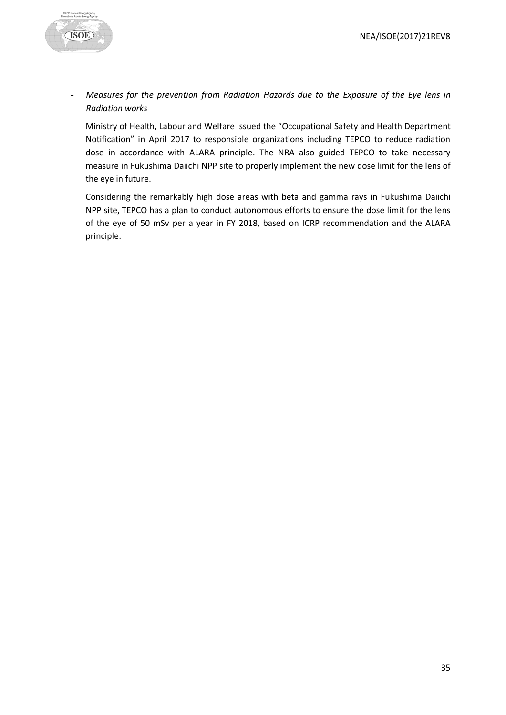

- *Measures for the prevention from Radiation Hazards due to the Exposure of the Eye lens in Radiation works*

Ministry of Health, Labour and Welfare issued the "Occupational Safety and Health Department Notification" in April 2017 to responsible organizations including TEPCO to reduce radiation dose in accordance with ALARA principle. The NRA also guided TEPCO to take necessary measure in Fukushima Daiichi NPP site to properly implement the new dose limit for the lens of the eye in future.

Considering the remarkably high dose areas with beta and gamma rays in Fukushima Daiichi NPP site, TEPCO has a plan to conduct autonomous efforts to ensure the dose limit for the lens of the eye of 50 mSv per a year in FY 2018, based on ICRP recommendation and the ALARA principle.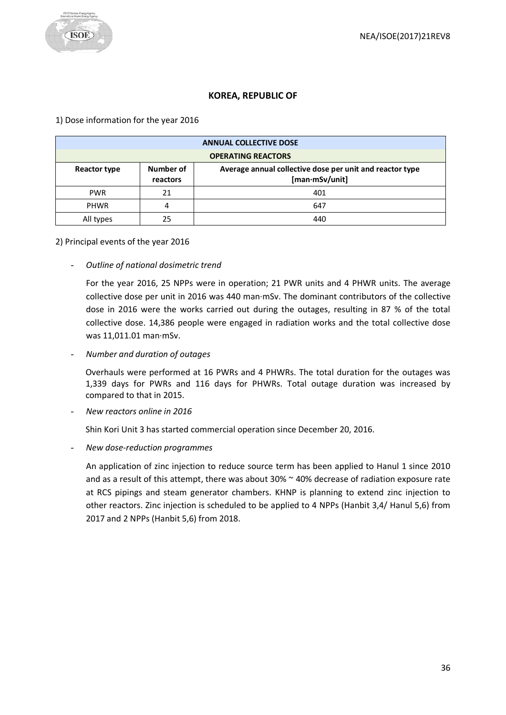# **KOREA, REPUBLIC OF**

#### <span id="page-35-0"></span>1) Dose information for the year 2016

| <b>ANNUAL COLLECTIVE DOSE</b>                                                                                       |    |     |  |
|---------------------------------------------------------------------------------------------------------------------|----|-----|--|
| <b>OPERATING REACTORS</b>                                                                                           |    |     |  |
| Number of<br>Average annual collective dose per unit and reactor type<br>Reactor type<br>[man·mSv/unit]<br>reactors |    |     |  |
| <b>PWR</b><br>401<br>21                                                                                             |    |     |  |
| <b>PHWR</b>                                                                                                         |    | 647 |  |
| All types                                                                                                           | 25 | 440 |  |

#### 2) Principal events of the year 2016

- *Outline of national dosimetric trend*

For the year 2016, 25 NPPs were in operation; 21 PWR units and 4 PHWR units. The average collective dose per unit in 2016 was 440 man·mSv. The dominant contributors of the collective dose in 2016 were the works carried out during the outages, resulting in 87 % of the total collective dose. 14,386 people were engaged in radiation works and the total collective dose was 11,011.01 man·mSv.

- *Number and duration of outages*

Overhauls were performed at 16 PWRs and 4 PHWRs. The total duration for the outages was 1,339 days for PWRs and 116 days for PHWRs. Total outage duration was increased by compared to that in 2015.

- *New reactors online in 2016*

Shin Kori Unit 3 has started commercial operation since December 20, 2016.

- *New dose-reduction programmes*

An application of zinc injection to reduce source term has been applied to Hanul 1 since 2010 and as a result of this attempt, there was about  $30\%$   $\sim$  40% decrease of radiation exposure rate at RCS pipings and steam generator chambers. KHNP is planning to extend zinc injection to other reactors. Zinc injection is scheduled to be applied to 4 NPPs (Hanbit 3,4/ Hanul 5,6) from 2017 and 2 NPPs (Hanbit 5,6) from 2018.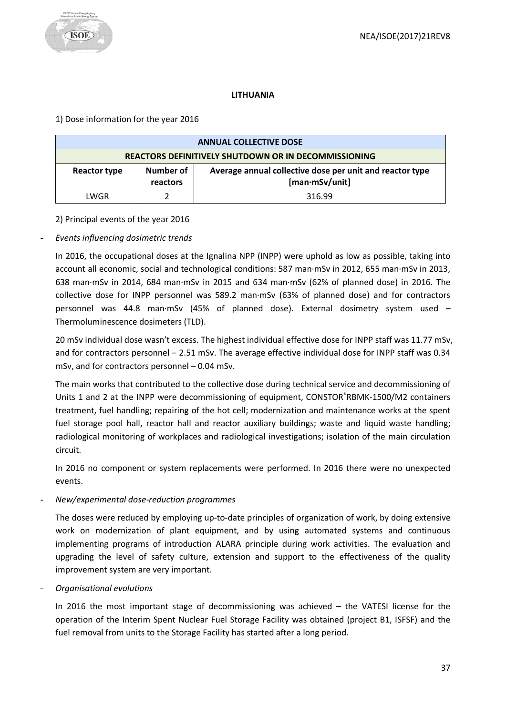

# **LITHUANIA**

<span id="page-36-0"></span>1) Dose information for the year 2016

| <b>ANNUAL COLLECTIVE DOSE</b>                                                                                              |  |  |  |  |
|----------------------------------------------------------------------------------------------------------------------------|--|--|--|--|
| <b>REACTORS DEFINITIVELY SHUTDOWN OR IN DECOMMISSIONING</b>                                                                |  |  |  |  |
| Number of<br>Average annual collective dose per unit and reactor type<br><b>Reactor type</b><br>[man·mSv/unit]<br>reactors |  |  |  |  |
| 316.99<br>LWGR                                                                                                             |  |  |  |  |

2) Principal events of the year 2016

# - *Events influencing dosimetric trends*

In 2016, the occupational doses at the Ignalina NPP (INPP) were uphold as low as possible, taking into account all economic, social and technological conditions: 587 man·mSv in 2012, 655 man·mSv in 2013, 638 man·mSv in 2014, 684 man·mSv in 2015 and 634 man·mSv (62% of planned dose) in 2016. The collective dose for INPP personnel was 589.2 man·mSv (63% of planned dose) and for contractors personnel was 44.8 man·mSv (45% of planned dose). External dosimetry system used – Thermoluminescence dosimeters (TLD).

20 mSv individual dose wasn't excess. The highest individual effective dose for INPP staff was 11.77 mSv, and for contractors personnel – 2.51 mSv. The average effective individual dose for INPP staff was 0.34 mSv, and for contractors personnel – 0.04 mSv.

The main works that contributed to the collective dose during technical service and decommissioning of Units 1 and 2 at the INPP were decommissioning of equipment, CONSTOR®RBMK-1500/M2 containers treatment, fuel handling; repairing of the hot cell; modernization and maintenance works at the spent fuel storage pool hall, reactor hall and reactor auxiliary buildings; waste and liquid waste handling; radiological monitoring of workplaces and radiological investigations; isolation of the main circulation circuit.

In 2016 no component or system replacements were performed. In 2016 there were no unexpected events.

# - *New/experimental dose-reduction programmes*

The doses were reduced by employing up-to-date principles of organization of work, by doing extensive work on modernization of plant equipment, and by using automated systems and continuous implementing programs of introduction ALARA principle during work activities. The evaluation and upgrading the level of safety culture, extension and support to the effectiveness of the quality improvement system are very important.

- *Organisational evolutions*

In 2016 the most important stage of decommissioning was achieved – the VATESI license for the operation of the Interim Spent Nuclear Fuel Storage Facility was obtained (project B1, ISFSF) and the fuel removal from units to the Storage Facility has started after a long period.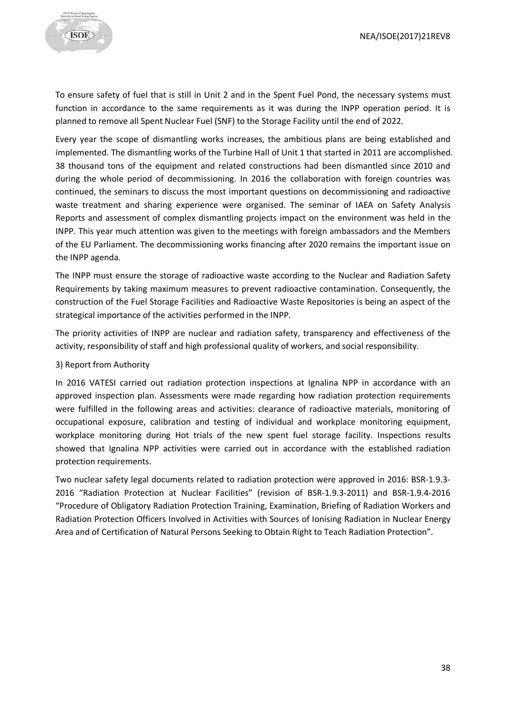

To ensure safety of fuel that is still in Unit 2 and in the Spent Fuel Pond, the necessary systems must function in accordance to the same requirements as it was during the INPP operation period. It is planned to remove all Spent Nuclear Fuel (SNF) to the Storage Facility until the end of 2022.

Every year the scope of dismantling works increases, the ambitious plans are being established and implemented. The dismantling works of the Turbine Hall of Unit 1 that started in 2011 are accomplished. 38 thousand tons of the equipment and related constructions had been dismantled since 2010 and during the whole period of decommissioning. In 2016 the collaboration with foreign countries was continued, the seminars to discuss the most important questions on decommissioning and radioactive waste treatment and sharing experience were organised. The seminar of IAEA on Safety Analysis Reports and assessment of complex dismantling projects impact on the environment was held in the INPP. This year much attention was given to the meetings with foreign ambassadors and the Members of the EU Parliament. The decommissioning works financing after 2020 remains the important issue on the INPP agenda.

The INPP must ensure the storage of radioactive waste according to the Nuclear and Radiation Safety Requirements by taking maximum measures to prevent radioactive contamination. Consequently, the construction of the Fuel Storage Facilities and Radioactive Waste Repositories is being an aspect of the strategical importance of the activities performed in the INPP.

The priority activities of INPP are nuclear and radiation safety, transparency and effectiveness of the activity, responsibility of staff and high professional quality of workers, and social responsibility.

#### 3) Report from Authority

In 2016 VATESI carried out radiation protection inspections at Ignalina NPP in accordance with an approved inspection plan. Assessments were made regarding how radiation protection requirements were fulfilled in the following areas and activities: clearance of radioactive materials, monitoring of occupational exposure, calibration and testing of individual and workplace monitoring equipment, workplace monitoring during Hot trials of the new spent fuel storage facility. Inspections results showed that Ignalina NPP activities were carried out in accordance with the established radiation protection requirements.

Two nuclear safety legal documents related to radiation protection were approved in 2016: BSR-1.9.3- 2016 "Radiation Protection at Nuclear Facilities" (revision of BSR-1.9.3-2011) and BSR-1.9.4-2016 "Procedure of Obligatory Radiation Protection Training, Examination, Briefing of Radiation Workers and Radiation Protection Officers Involved in Activities with Sources of Ionising Radiation in Nuclear Energy Area and of Certification of Natural Persons Seeking to Obtain Right to Teach Radiation Protection".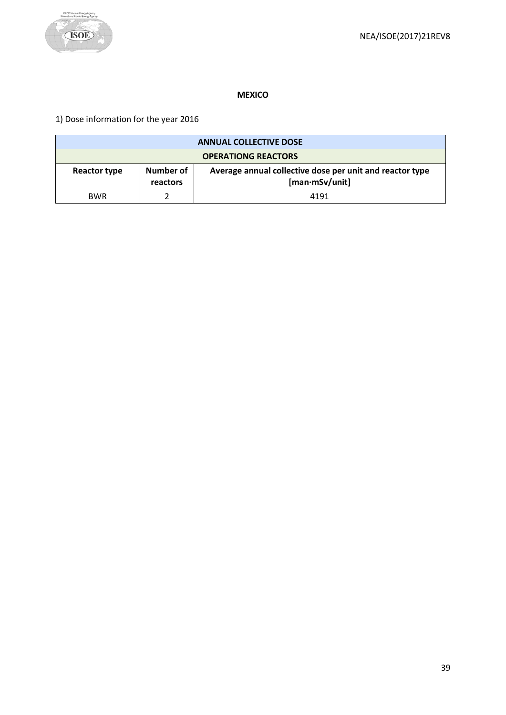

#### **MEXICO**

<span id="page-38-0"></span>1) Dose information for the year 2016

| <b>ANNUAL COLLECTIVE DOSE</b>                                                                                       |  |      |  |  |
|---------------------------------------------------------------------------------------------------------------------|--|------|--|--|
| <b>OPERATIONG REACTORS</b>                                                                                          |  |      |  |  |
| Number of<br>Average annual collective dose per unit and reactor type<br>Reactor type<br>[man·mSv/unit]<br>reactors |  |      |  |  |
| <b>BWR</b>                                                                                                          |  | 4191 |  |  |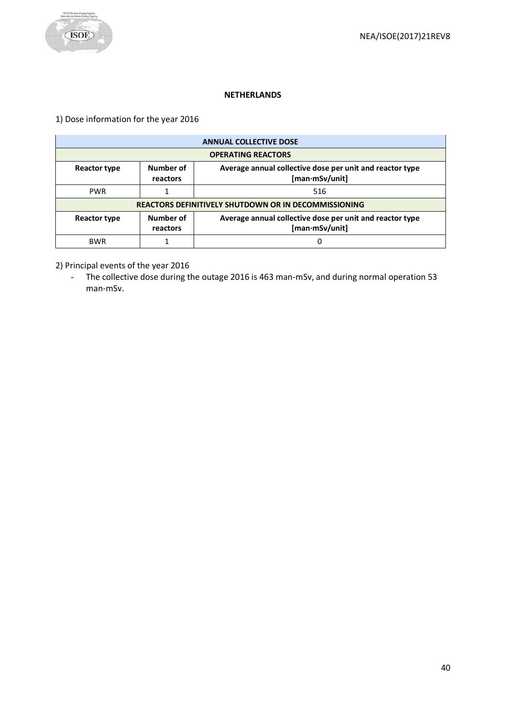

#### **NETHERLANDS**

<span id="page-39-0"></span>1) Dose information for the year 2016

| <b>ANNUAL COLLECTIVE DOSE</b>                                                                                       |                                                             |  |  |  |  |
|---------------------------------------------------------------------------------------------------------------------|-------------------------------------------------------------|--|--|--|--|
|                                                                                                                     | <b>OPERATING REACTORS</b>                                   |  |  |  |  |
| Number of<br>Average annual collective dose per unit and reactor type<br>Reactor type<br>[man·mSv/unit]<br>reactors |                                                             |  |  |  |  |
| <b>PWR</b>                                                                                                          | 516                                                         |  |  |  |  |
|                                                                                                                     | <b>REACTORS DEFINITIVELY SHUTDOWN OR IN DECOMMISSIONING</b> |  |  |  |  |
| Number of<br>Average annual collective dose per unit and reactor type<br>Reactor type<br>[man·mSv/unit]<br>reactors |                                                             |  |  |  |  |
| <b>BWR</b><br>0                                                                                                     |                                                             |  |  |  |  |

2) Principal events of the year 2016

- The collective dose during the outage 2016 is 463 man-mSv, and during normal operation 53 man-mSv.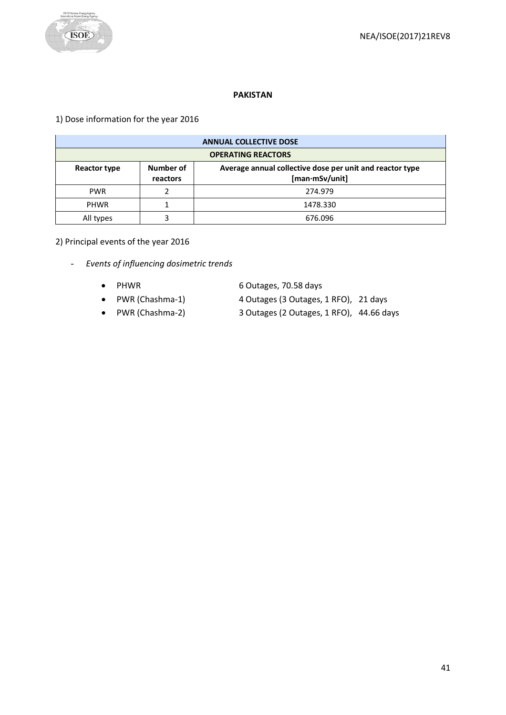

#### **PAKISTAN**

# <span id="page-40-0"></span>1) Dose information for the year 2016

| <b>ANNUAL COLLECTIVE DOSE</b>                                                                                       |         |  |  |  |
|---------------------------------------------------------------------------------------------------------------------|---------|--|--|--|
| <b>OPERATING REACTORS</b>                                                                                           |         |  |  |  |
| Average annual collective dose per unit and reactor type<br>Number of<br>Reactor type<br>[man·mSv/unit]<br>reactors |         |  |  |  |
| <b>PWR</b>                                                                                                          | 274.979 |  |  |  |
| <b>PHWR</b><br>1478.330                                                                                             |         |  |  |  |
| All types                                                                                                           | 676.096 |  |  |  |

# 2) Principal events of the year 2016

- *Events of influencing dosimetric trends*
	- PHWR 6 Outages, 70.58 days
	- PWR (Chashma-1) 4 Outages (3 Outages, 1 RFO), 21 days
- -
	-
	- PWR (Chashma-2) 3 Outages (2 Outages, 1 RFO), 44.66 days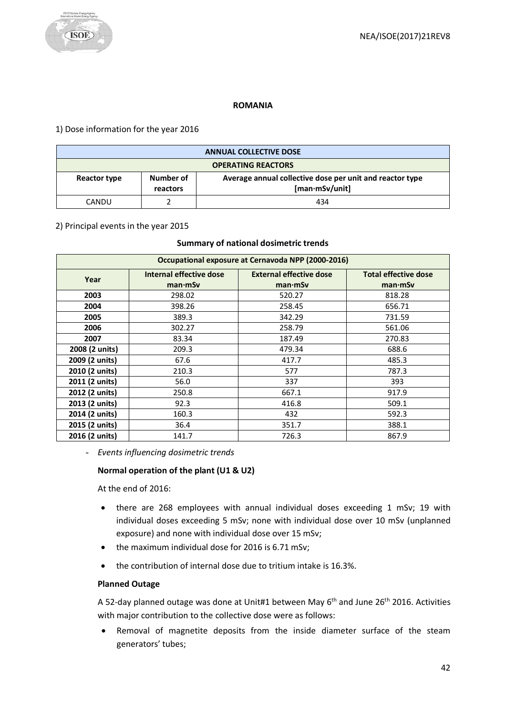

#### **ROMANIA**

<span id="page-41-0"></span>1) Dose information for the year 2016

| <b>ANNUAL COLLECTIVE DOSE</b> |                                                                                                     |     |  |  |
|-------------------------------|-----------------------------------------------------------------------------------------------------|-----|--|--|
| <b>OPERATING REACTORS</b>     |                                                                                                     |     |  |  |
| Reactor type                  | Average annual collective dose per unit and reactor type<br>Number of<br>[man·mSv/unit]<br>reactors |     |  |  |
| CANDU                         |                                                                                                     | 434 |  |  |

#### 2) Principal events in the year 2015

#### **Summary of national dosimetric trends**

| Occupational exposure at Cernavoda NPP (2000-2016) |                                    |                                           |                                        |  |  |
|----------------------------------------------------|------------------------------------|-------------------------------------------|----------------------------------------|--|--|
| Year                                               | Internal effective dose<br>man·mSv | <b>External effective dose</b><br>man·mSv | <b>Total effective dose</b><br>man·mSv |  |  |
| 2003                                               | 298.02                             | 520.27                                    | 818.28                                 |  |  |
| 2004                                               | 398.26                             | 258.45                                    | 656.71                                 |  |  |
| 2005                                               | 389.3                              | 342.29                                    | 731.59                                 |  |  |
| 2006                                               | 302.27                             | 258.79                                    | 561.06                                 |  |  |
| 2007                                               | 83.34                              | 187.49                                    | 270.83                                 |  |  |
| 2008 (2 units)                                     | 209.3                              | 479.34                                    | 688.6                                  |  |  |
| 2009 (2 units)                                     | 67.6                               | 417.7                                     | 485.3                                  |  |  |
| 2010 (2 units)                                     | 210.3                              | 577                                       | 787.3                                  |  |  |
| 2011 (2 units)                                     | 56.0                               | 337                                       | 393                                    |  |  |
| 2012 (2 units)                                     | 250.8                              | 667.1                                     | 917.9                                  |  |  |
| 2013 (2 units)                                     | 92.3                               | 416.8                                     | 509.1                                  |  |  |
| 2014 (2 units)                                     | 160.3                              | 432                                       | 592.3                                  |  |  |
| 2015 (2 units)                                     | 36.4                               | 351.7                                     | 388.1                                  |  |  |
| 2016 (2 units)                                     | 141.7                              | 726.3                                     | 867.9                                  |  |  |

- *Events influencing dosimetric trends*

# **Normal operation of the plant (U1 & U2)**

At the end of 2016:

- there are 268 employees with annual individual doses exceeding 1 mSv; 19 with individual doses exceeding 5 mSv; none with individual dose over 10 mSv (unplanned exposure) and none with individual dose over 15 mSv;
- the maximum individual dose for 2016 is 6.71 mSv;
- the contribution of internal dose due to tritium intake is 16.3%.

#### **Planned Outage**

A 52-day planned outage was done at Unit#1 between May 6<sup>th</sup> and June 26<sup>th</sup> 2016. Activities with major contribution to the collective dose were as follows:

• Removal of magnetite deposits from the inside diameter surface of the steam generators' tubes;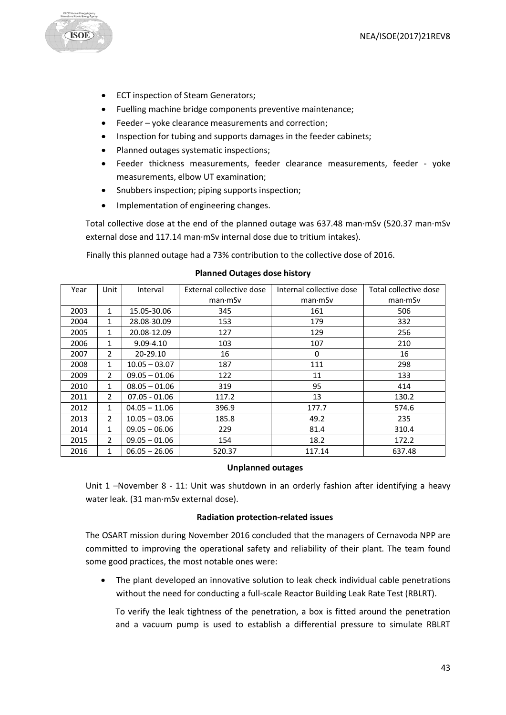

- ECT inspection of Steam Generators;
- Fuelling machine bridge components preventive maintenance;
- Feeder yoke clearance measurements and correction;
- Inspection for tubing and supports damages in the feeder cabinets;
- Planned outages systematic inspections;
- Feeder thickness measurements, feeder clearance measurements, feeder yoke measurements, elbow UT examination;
- Snubbers inspection; piping supports inspection;
- Implementation of engineering changes.

Total collective dose at the end of the planned outage was 637.48 man·mSv (520.37 man·mSv external dose and 117.14 man·mSv internal dose due to tritium intakes).

Finally this planned outage had a 73% contribution to the collective dose of 2016.

| Year | Unit           | Interval        | External collective dose | Internal collective dose | Total collective dose |
|------|----------------|-----------------|--------------------------|--------------------------|-----------------------|
|      |                |                 | man·mSv                  | man·mSv                  | man·mSv               |
| 2003 | 1              | 15.05-30.06     | 345                      | 161                      | 506                   |
| 2004 | 1              | 28.08-30.09     | 153                      | 179                      | 332                   |
| 2005 | 1              | 20.08-12.09     | 127                      | 129                      | 256                   |
| 2006 | 1              | 9.09-4.10       | 103                      | 107                      | 210                   |
| 2007 | 2              | 20-29.10        | 16                       | $\mathbf{0}$             | 16                    |
| 2008 | $\mathbf{1}$   | $10.05 - 03.07$ | 187                      | 111                      | 298                   |
| 2009 | $\overline{2}$ | $09.05 - 01.06$ | 122                      | 11                       | 133                   |
| 2010 | $\mathbf{1}$   | $08.05 - 01.06$ | 319                      | 95                       | 414                   |
| 2011 | $\overline{2}$ | $07.05 - 01.06$ | 117.2                    | 13                       | 130.2                 |
| 2012 | 1              | $04.05 - 11.06$ | 396.9                    | 177.7                    | 574.6                 |
| 2013 | $\overline{2}$ | $10.05 - 03.06$ | 185.8                    | 49.2                     | 235                   |
| 2014 | 1              | $09.05 - 06.06$ | 229                      | 81.4                     | 310.4                 |
| 2015 | $\overline{2}$ | $09.05 - 01.06$ | 154                      | 18.2                     | 172.2                 |
| 2016 | 1              | $06.05 - 26.06$ | 520.37                   | 117.14                   | 637.48                |

#### **Planned Outages dose history**

#### **Unplanned outages**

Unit 1 –November 8 - 11: Unit was shutdown in an orderly fashion after identifying a heavy water leak. (31 man·mSv external dose).

#### **Radiation protection-related issues**

The OSART mission during November 2016 concluded that the managers of Cernavoda NPP are committed to improving the operational safety and reliability of their plant. The team found some good practices, the most notable ones were:

• The plant developed an innovative solution to leak check individual cable penetrations without the need for conducting a full-scale Reactor Building Leak Rate Test (RBLRT).

To verify the leak tightness of the penetration, a box is fitted around the penetration and a vacuum pump is used to establish a differential pressure to simulate RBLRT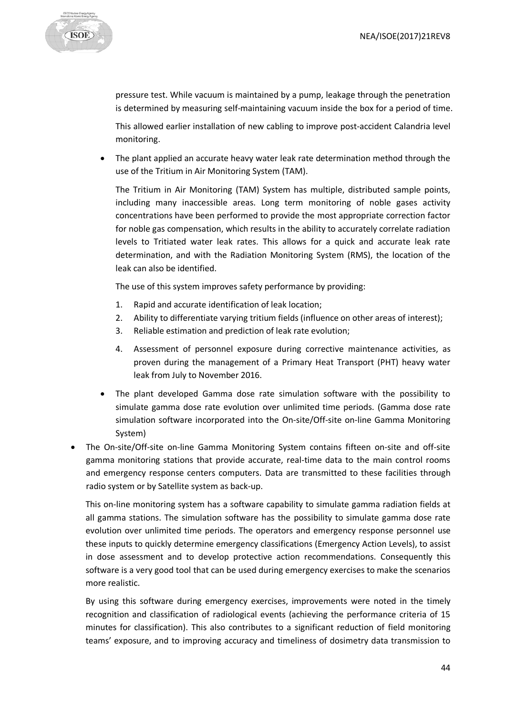

pressure test. While vacuum is maintained by a pump, leakage through the penetration is determined by measuring self-maintaining vacuum inside the box for a period of time.

This allowed earlier installation of new cabling to improve post-accident Calandria level monitoring.

The plant applied an accurate heavy water leak rate determination method through the use of the Tritium in Air Monitoring System (TAM).

The Tritium in Air Monitoring (TAM) System has multiple, distributed sample points, including many inaccessible areas. Long term monitoring of noble gases activity concentrations have been performed to provide the most appropriate correction factor for noble gas compensation, which results in the ability to accurately correlate radiation levels to Tritiated water leak rates. This allows for a quick and accurate leak rate determination, and with the Radiation Monitoring System (RMS), the location of the leak can also be identified.

The use of this system improves safety performance by providing:

- 1. Rapid and accurate identification of leak location;
- 2. Ability to differentiate varying tritium fields (influence on other areas of interest);
- 3. Reliable estimation and prediction of leak rate evolution;
- 4. Assessment of personnel exposure during corrective maintenance activities, as proven during the management of a Primary Heat Transport (PHT) heavy water leak from July to November 2016.
- The plant developed Gamma dose rate simulation software with the possibility to simulate gamma dose rate evolution over unlimited time periods. (Gamma dose rate simulation software incorporated into the On-site/Off-site on-line Gamma Monitoring System)
- The On-site/Off-site on-line Gamma Monitoring System contains fifteen on-site and off-site gamma monitoring stations that provide accurate, real-time data to the main control rooms and emergency response centers computers. Data are transmitted to these facilities through radio system or by Satellite system as back-up.

This on-line monitoring system has a software capability to simulate gamma radiation fields at all gamma stations. The simulation software has the possibility to simulate gamma dose rate evolution over unlimited time periods. The operators and emergency response personnel use these inputs to quickly determine emergency classifications (Emergency Action Levels), to assist in dose assessment and to develop protective action recommendations. Consequently this software is a very good tool that can be used during emergency exercises to make the scenarios more realistic.

By using this software during emergency exercises, improvements were noted in the timely recognition and classification of radiological events (achieving the performance criteria of 15 minutes for classification). This also contributes to a significant reduction of field monitoring teams' exposure, and to improving accuracy and timeliness of dosimetry data transmission to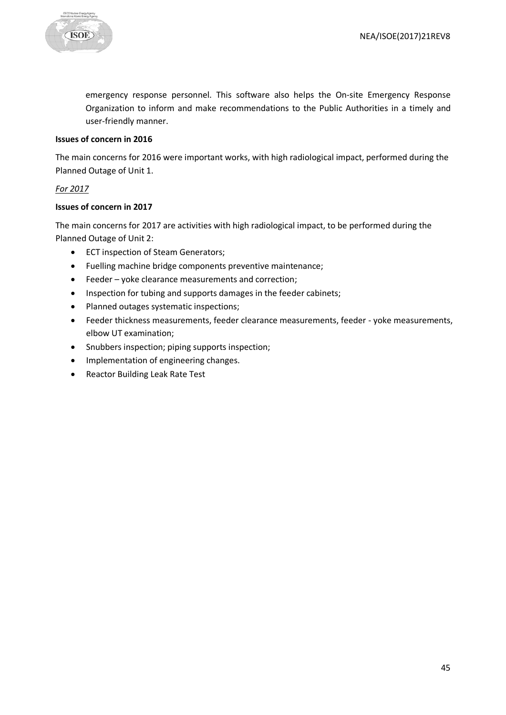

emergency response personnel. This software also helps the On-site Emergency Response Organization to inform and make recommendations to the Public Authorities in a timely and user-friendly manner.

#### **Issues of concern in 2016**

The main concerns for 2016 were important works, with high radiological impact, performed during the Planned Outage of Unit 1.

# *For 2017*

#### **Issues of concern in 2017**

The main concerns for 2017 are activities with high radiological impact, to be performed during the Planned Outage of Unit 2:

- ECT inspection of Steam Generators;
- Fuelling machine bridge components preventive maintenance;
- Feeder yoke clearance measurements and correction;
- Inspection for tubing and supports damages in the feeder cabinets;
- Planned outages systematic inspections;
- Feeder thickness measurements, feeder clearance measurements, feeder yoke measurements, elbow UT examination;
- Snubbers inspection; piping supports inspection;
- Implementation of engineering changes.
- Reactor Building Leak Rate Test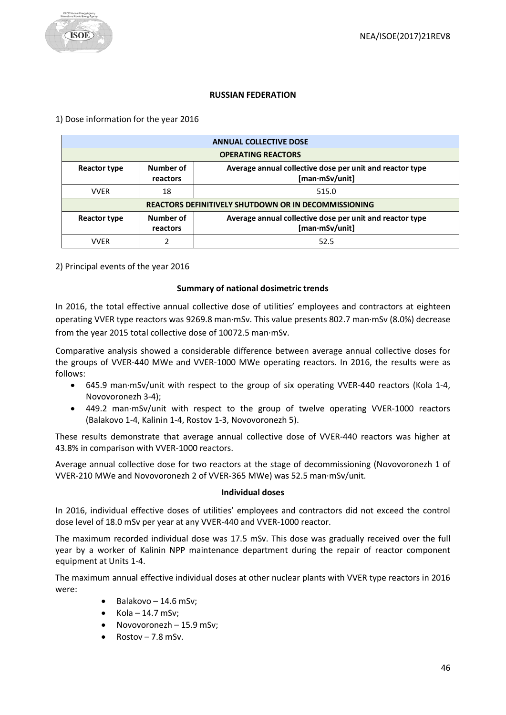#### **RUSSIAN FEDERATION**

#### <span id="page-45-0"></span>1) Dose information for the year 2016

|                     | <b>ANNUAL COLLECTIVE DOSE</b>                               |                                                                            |  |
|---------------------|-------------------------------------------------------------|----------------------------------------------------------------------------|--|
|                     | <b>OPERATING REACTORS</b>                                   |                                                                            |  |
| <b>Reactor type</b> | Number of<br>reactors                                       | Average annual collective dose per unit and reactor type<br>[man·mSv/unit] |  |
| <b>VVER</b>         | 18                                                          | 515.0                                                                      |  |
|                     | <b>REACTORS DEFINITIVELY SHUTDOWN OR IN DECOMMISSIONING</b> |                                                                            |  |
| <b>Reactor type</b> | Number of<br>reactors                                       | Average annual collective dose per unit and reactor type<br>[man·mSv/unit] |  |
| <b>VVER</b>         | າ                                                           | 52.5                                                                       |  |

2) Principal events of the year 2016

#### **Summary of national dosimetric trends**

In 2016, the total effective annual collective dose of utilities' employees and contractors at eighteen operating VVER type reactors was 9269.8 man·mSv. This value presents 802.7 man·mSv (8.0%) decrease from the year 2015 total collective dose of 10072.5 man·mSv.

Comparative analysis showed a considerable difference between average annual collective doses for the groups of VVER-440 MWe and VVER-1000 MWe operating reactors. In 2016, the results were as follows:

- 645.9 man·mSv/unit with respect to the group of six operating VVER-440 reactors (Kola 1-4, Novovoronezh 3-4);
- 449.2 man·mSv/unit with respect to the group of twelve operating VVER-1000 reactors (Balakovo 1-4, Kalinin 1-4, Rostov 1-3, Novovoronezh 5).

These results demonstrate that average annual collective dose of VVER-440 reactors was higher at 43.8% in comparison with VVER-1000 reactors.

Average annual collective dose for two reactors at the stage of decommissioning (Novovoronezh 1 of VVER-210 MWe and Novovoronezh 2 of VVER-365 MWe) was 52.5 man·mSv/unit.

#### **Individual doses**

In 2016, individual effective doses of utilities' employees and contractors did not exceed the control dose level of 18.0 mSv per year at any VVER-440 and VVER-1000 reactor.

The maximum recorded individual dose was 17.5 mSv. This dose was gradually received over the full year by a worker of Kalinin NPP maintenance department during the repair of reactor component equipment at Units 1-4.

The maximum annual effective individual doses at other nuclear plants with VVER type reactors in 2016 were:

- $\bullet$  Balakovo 14.6 mSv;
- $Kola 14.7$  mSv;
- Novovoronezh 15.9 mSv;
- $Rostov 7.8$  mSv.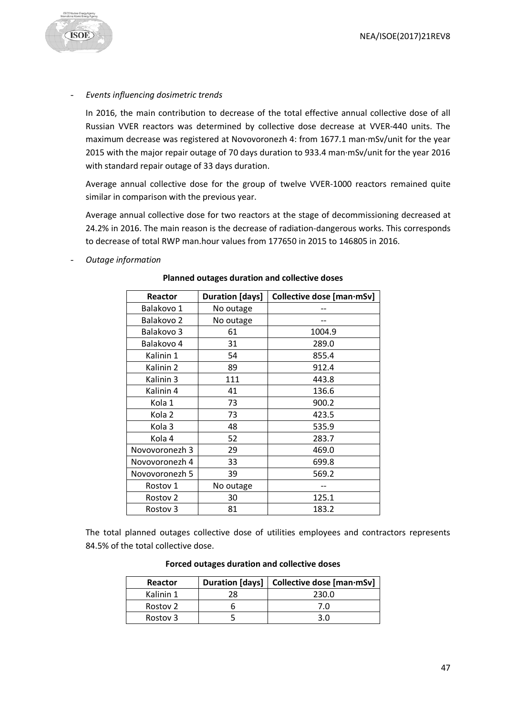

#### - *Events influencing dosimetric trends*

In 2016, the main contribution to decrease of the total effective annual collective dose of all Russian VVER reactors was determined by collective dose decrease at VVER-440 units. The maximum decrease was registered at Novovoronezh 4: from 1677.1 man·mSv/unit for the year 2015 with the major repair outage of 70 days duration to 933.4 man·mSv/unit for the year 2016 with standard repair outage of 33 days duration.

Average annual collective dose for the group of twelve VVER-1000 reactors remained quite similar in comparison with the previous year.

Average annual collective dose for two reactors at the stage of decommissioning decreased at 24.2% in 2016. The main reason is the decrease of radiation-dangerous works. This corresponds to decrease of total RWP man.hour values from 177650 in 2015 to 146805 in 2016.

- *Outage information*

| Reactor             | <b>Duration [days]</b> | Collective dose [man·mSv] |
|---------------------|------------------------|---------------------------|
| Balakovo 1          | No outage              |                           |
| Balakovo 2          | No outage              |                           |
| Balakovo 3          | 61                     | 1004.9                    |
| Balakovo 4          | 31                     | 289.0                     |
| Kalinin 1           | 54                     | 855.4                     |
| Kalinin 2           | 89                     | 912.4                     |
| Kalinin 3           | 111                    | 443.8                     |
| Kalinin 4           | 41                     | 136.6                     |
| Kola 1              | 73                     | 900.2                     |
| Kola 2              | 73                     | 423.5                     |
| Kola <sub>3</sub>   | 48                     | 535.9                     |
| Kola 4              | 52                     | 283.7                     |
| Novovoronezh 3      | 29                     | 469.0                     |
| Novovoronezh 4      | 33                     | 699.8                     |
| Novovoronezh 5      | 39                     | 569.2                     |
| Rostov 1            | No outage              |                           |
| Rostov 2            | 30                     | 125.1                     |
| Rostov <sub>3</sub> | 81                     | 183.2                     |

#### **Planned outages duration and collective doses**

The total planned outages collective dose of utilities employees and contractors represents 84.5% of the total collective dose.

| Reactor   | Duration [days] | Collective dose [man·mSv] |
|-----------|-----------------|---------------------------|
| Kalinin 1 |                 | 230.0                     |
| Rostov 2  |                 | 7.0                       |
| Rostov 3  |                 | 3 U                       |

#### **Forced outages duration and collective doses**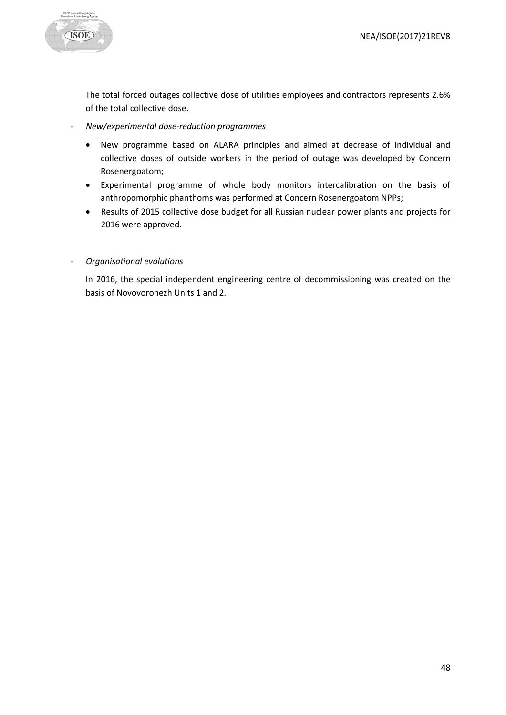

The total forced outages collective dose of utilities employees and contractors represents 2.6% of the total collective dose.

- *New/experimental dose-reduction programmes*
	- New programme based on ALARA principles and aimed at decrease of individual and collective doses of outside workers in the period of outage was developed by Concern Rosenergoatom;
	- Experimental programme of whole body monitors intercalibration on the basis of anthropomorphic phanthoms was performed at Concern Rosenergoatom NPPs;
	- Results of 2015 collective dose budget for all Russian nuclear power plants and projects for 2016 were approved.

#### - *Organisational evolutions*

In 2016, the special independent engineering centre of decommissioning was created on the basis of Novovoronezh Units 1 and 2.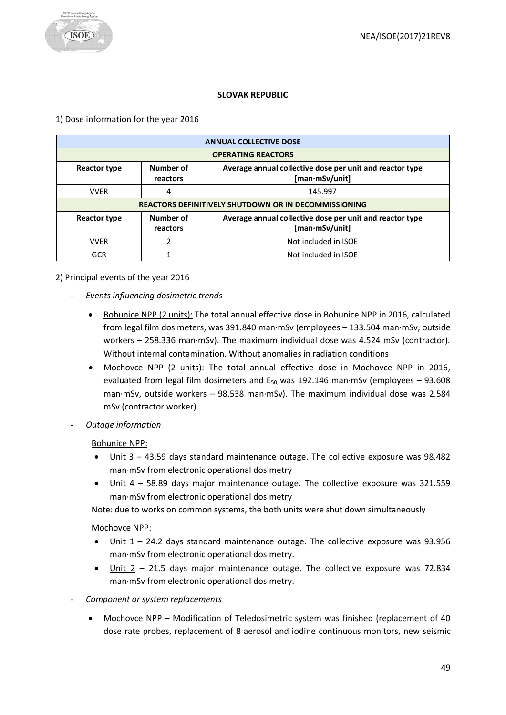# **SLOVAK REPUBLIC**

# <span id="page-48-0"></span>1) Dose information for the year 2016

|                     | <b>ANNUAL COLLECTIVE DOSE</b>                        |                                                                            |  |
|---------------------|------------------------------------------------------|----------------------------------------------------------------------------|--|
|                     | <b>OPERATING REACTORS</b>                            |                                                                            |  |
| <b>Reactor type</b> | Number of<br>reactors                                | Average annual collective dose per unit and reactor type<br>[man·mSv/unit] |  |
| <b>VVER</b>         | 4                                                    | 145.997                                                                    |  |
|                     | REACTORS DEFINITIVELY SHUTDOWN OR IN DECOMMISSIONING |                                                                            |  |
| Reactor type        | Number of<br>reactors                                | Average annual collective dose per unit and reactor type<br>[man·mSv/unit] |  |
| <b>VVER</b>         |                                                      | Not included in ISOE                                                       |  |
| GCR                 |                                                      | Not included in ISOE                                                       |  |

# 2) Principal events of the year 2016

- *Events influencing dosimetric trends*
	- Bohunice NPP (2 units): The total annual effective dose in Bohunice NPP in 2016, calculated from legal film dosimeters, was 391.840 man·mSv (employees – 133.504 man·mSv, outside workers – 258.336 man·mSv). The maximum individual dose was 4.524 mSv (contractor). Without internal contamination. Without anomalies in radiation conditions
	- Mochovce NPP (2 units): The total annual effective dose in Mochovce NPP in 2016, evaluated from legal film dosimeters and  $E_{50}$  was 192.146 man·mSv (employees - 93.608 man·mSv, outside workers – 98.538 man·mSv). The maximum individual dose was 2.584 mSv (contractor worker).
- *Outage information*

Bohunice NPP:

- Unit  $3 43.59$  days standard maintenance outage. The collective exposure was 98.482 man·mSv from electronic operational dosimetry
- Unit 4 58.89 days major maintenance outage. The collective exposure was 321.559 man·mSv from electronic operational dosimetry

Note: due to works on common systems, the both units were shut down simultaneously

# Mochovce NPP:

- Unit  $1 24.2$  days standard maintenance outage. The collective exposure was 93.956 man·mSv from electronic operational dosimetry.
- Unit 2 21.5 days major maintenance outage. The collective exposure was 72.834 man·mSv from electronic operational dosimetry.
- *Component or system replacements*
	- Mochovce NPP Modification of Teledosimetric system was finished (replacement of 40 dose rate probes, replacement of 8 aerosol and iodine continuous monitors, new seismic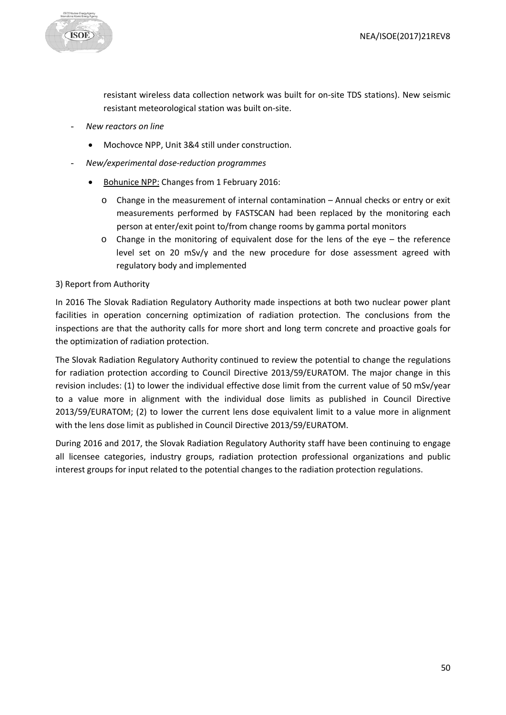

resistant wireless data collection network was built for on-site TDS stations). New seismic resistant meteorological station was built on-site.

- *New reactors on line*
	- Mochovce NPP, Unit 3&4 still under construction.
- *New/experimental dose-reduction programmes*
	- Bohunice NPP: Changes from 1 February 2016:
		- $\circ$  Change in the measurement of internal contamination Annual checks or entry or exit measurements performed by FASTSCAN had been replaced by the monitoring each person at enter/exit point to/from change rooms by gamma portal monitors
		- $\circ$  Change in the monitoring of equivalent dose for the lens of the eye the reference level set on 20 mSv/y and the new procedure for dose assessment agreed with regulatory body and implemented

#### 3) Report from Authority

In 2016 The Slovak Radiation Regulatory Authority made inspections at both two nuclear power plant facilities in operation concerning optimization of radiation protection. The conclusions from the inspections are that the authority calls for more short and long term concrete and proactive goals for the optimization of radiation protection.

The Slovak Radiation Regulatory Authority continued to review the potential to change the regulations for radiation protection according to Council Directive 2013/59/EURATOM. The major change in this revision includes: (1) to lower the individual effective dose limit from the current value of 50 mSv/year to a value more in alignment with the individual dose limits as published in Council Directive 2013/59/EURATOM; (2) to lower the current lens dose equivalent limit to a value more in alignment with the lens dose limit as published in Council Directive 2013/59/EURATOM.

During 2016 and 2017, the Slovak Radiation Regulatory Authority staff have been continuing to engage all licensee categories, industry groups, radiation protection professional organizations and public interest groups for input related to the potential changes to the radiation protection regulations.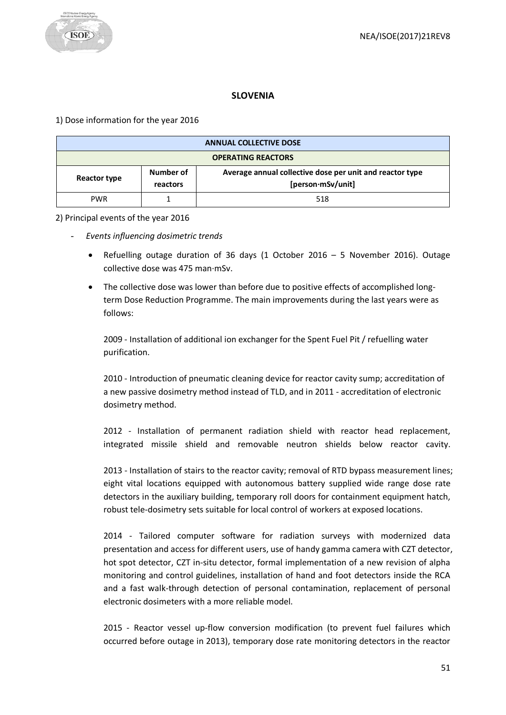

# **SLOVENIA**

<span id="page-50-0"></span>1) Dose information for the year 2016

| <b>ANNUAL COLLECTIVE DOSE</b> |                       |                                                                               |
|-------------------------------|-----------------------|-------------------------------------------------------------------------------|
| <b>OPERATING REACTORS</b>     |                       |                                                                               |
| Reactor type                  | Number of<br>reactors | Average annual collective dose per unit and reactor type<br>[person·mSv/unit] |
| <b>PWR</b>                    |                       | 518                                                                           |

#### 2) Principal events of the year 2016

- *Events influencing dosimetric trends* 
	- Refuelling outage duration of 36 days (1 October 2016 5 November 2016). Outage collective dose was 475 man·mSv.
	- The collective dose was lower than before due to positive effects of accomplished longterm Dose Reduction Programme. The main improvements during the last years were as follows:

2009 - Installation of additional ion exchanger for the Spent Fuel Pit / refuelling water purification.

2010 - Introduction of pneumatic cleaning device for reactor cavity sump; accreditation of a new passive dosimetry method instead of TLD, and in 2011 - accreditation of electronic dosimetry method.

2012 - Installation of permanent radiation shield with reactor head replacement, integrated missile shield and removable neutron shields below reactor cavity.

2013 - Installation of stairs to the reactor cavity; removal of RTD bypass measurement lines; eight vital locations equipped with autonomous battery supplied wide range dose rate detectors in the auxiliary building, temporary roll doors for containment equipment hatch, robust tele-dosimetry sets suitable for local control of workers at exposed locations.

2014 - Tailored computer software for radiation surveys with modernized data presentation and access for different users, use of handy gamma camera with CZT detector, hot spot detector, CZT in-situ detector, formal implementation of a new revision of alpha monitoring and control guidelines, installation of hand and foot detectors inside the RCA and a fast walk-through detection of personal contamination, replacement of personal electronic dosimeters with a more reliable model.

2015 - Reactor vessel up-flow conversion modification (to prevent fuel failures which occurred before outage in 2013), temporary dose rate monitoring detectors in the reactor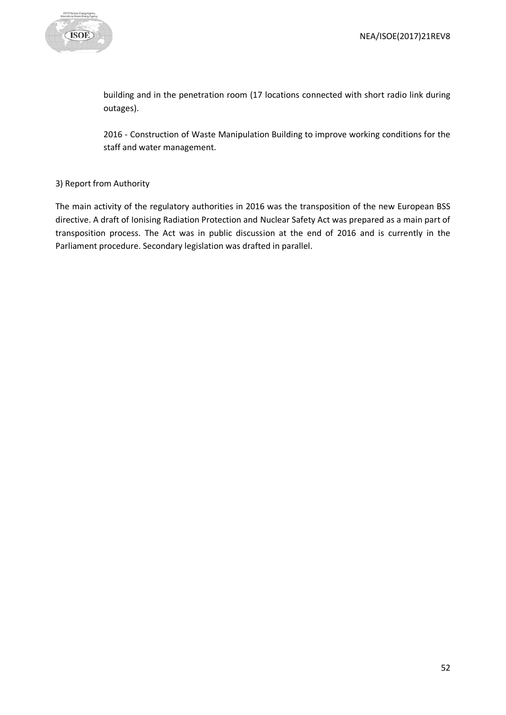

building and in the penetration room (17 locations connected with short radio link during outages).

2016 - Construction of Waste Manipulation Building to improve working conditions for the staff and water management.

# 3) Report from Authority

The main activity of the regulatory authorities in 2016 was the transposition of the new European BSS directive. A draft of Ionising Radiation Protection and Nuclear Safety Act was prepared as a main part of transposition process. The Act was in public discussion at the end of 2016 and is currently in the Parliament procedure. Secondary legislation was drafted in parallel.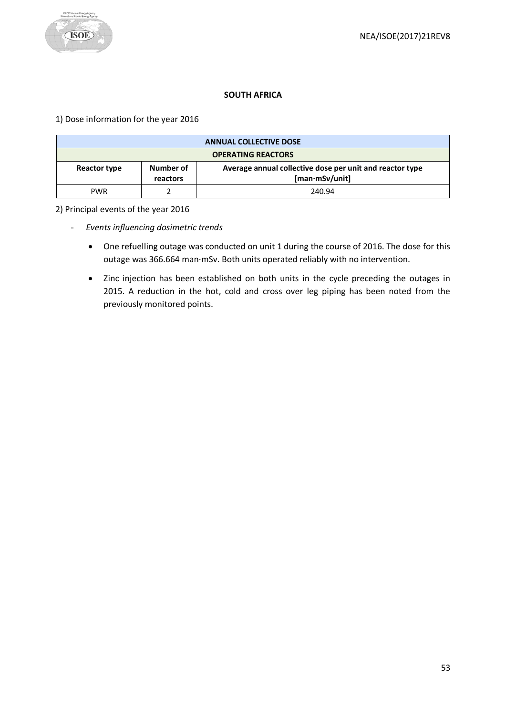# **SOUTH AFRICA**

<span id="page-52-0"></span>1) Dose information for the year 2016

| <b>ANNUAL COLLECTIVE DOSE</b> |                       |                                                                            |
|-------------------------------|-----------------------|----------------------------------------------------------------------------|
| <b>OPERATING REACTORS</b>     |                       |                                                                            |
| Reactor type                  | Number of<br>reactors | Average annual collective dose per unit and reactor type<br>[man·mSv/unit] |
| <b>PWR</b>                    |                       | 240.94                                                                     |

2) Principal events of the year 2016

- *Events influencing dosimetric trends* 
	- One refuelling outage was conducted on unit 1 during the course of 2016. The dose for this outage was 366.664 man·mSv. Both units operated reliably with no intervention.
	- Zinc injection has been established on both units in the cycle preceding the outages in 2015. A reduction in the hot, cold and cross over leg piping has been noted from the previously monitored points.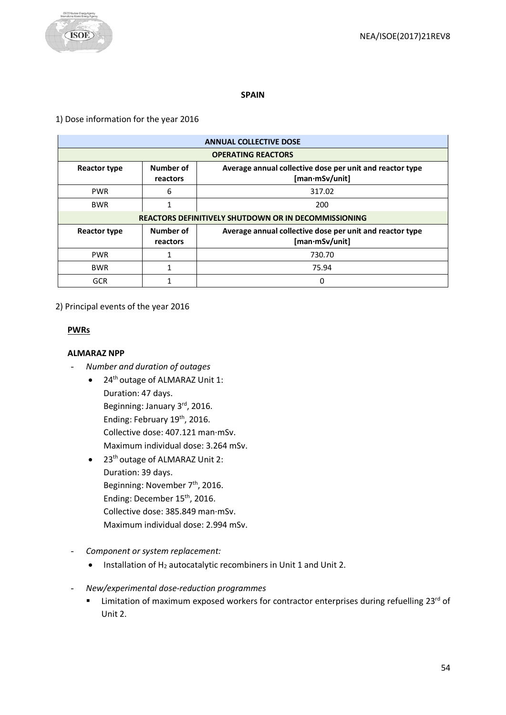

#### **SPAIN**

#### <span id="page-53-0"></span>1) Dose information for the year 2016

| <b>ANNUAL COLLECTIVE DOSE</b> |                                                             |                                                                            |  |
|-------------------------------|-------------------------------------------------------------|----------------------------------------------------------------------------|--|
|                               | <b>OPERATING REACTORS</b>                                   |                                                                            |  |
| <b>Reactor type</b>           | Number of<br>reactors                                       | Average annual collective dose per unit and reactor type<br>[man·mSv/unit] |  |
| <b>PWR</b>                    | 6                                                           | 317.02                                                                     |  |
| <b>BWR</b>                    |                                                             | 200                                                                        |  |
|                               | <b>REACTORS DEFINITIVELY SHUTDOWN OR IN DECOMMISSIONING</b> |                                                                            |  |
| Reactor type                  | Number of<br>reactors                                       | Average annual collective dose per unit and reactor type<br>[man·mSv/unit] |  |
| <b>PWR</b>                    |                                                             | 730.70                                                                     |  |
| <b>BWR</b>                    |                                                             | 75.94                                                                      |  |
| <b>GCR</b>                    |                                                             | 0                                                                          |  |

2) Principal events of the year 2016

#### **PWRs**

#### **ALMARAZ NPP**

- *Number and duration of outages*
	- 24<sup>th</sup> outage of ALMARAZ Unit 1: Duration: 47 days. Beginning: January 3rd, 2016. Ending: February 19<sup>th</sup>, 2016. Collective dose: 407.121 man·mSv. Maximum individual dose: 3.264 mSv.
	- 23<sup>th</sup> outage of ALMARAZ Unit 2: Duration: 39 days. Beginning: November 7<sup>th</sup>, 2016. Ending: December 15th, 2016. Collective dose: 385.849 man·mSv. Maximum individual dose: 2.994 mSv.
- *Component or system replacement:*
	- Installation of H<sub>2</sub> autocatalytic recombiners in Unit 1 and Unit 2.
- *New/experimental dose-reduction programmes*
	- **EXECT** Limitation of maximum exposed workers for contractor enterprises during refuelling 23<sup>rd</sup> of Unit 2.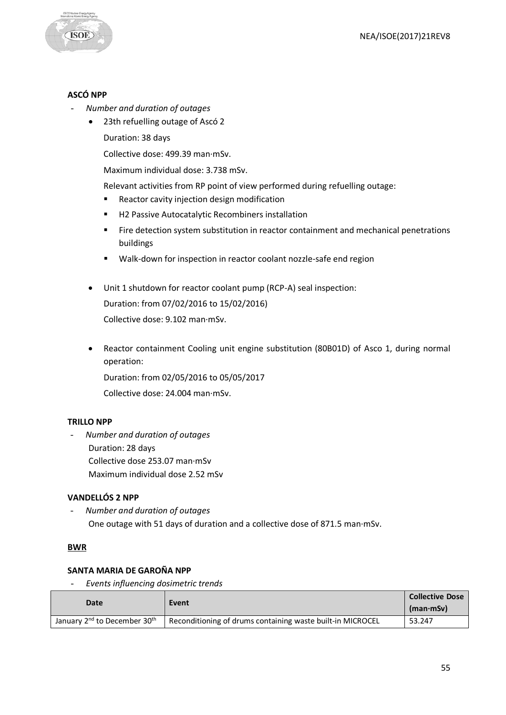

#### **ASCÓ NPP**

- *Number and duration of outages*
	- 23th refuelling outage of Ascó 2 Duration: 38 days

Collective dose: 499.39 man·mSv.

Maximum individual dose: 3.738 mSv.

Relevant activities from RP point of view performed during refuelling outage:

- **Reactor cavity injection design modification**
- H2 Passive Autocatalytic Recombiners installation
- Fire detection system substitution in reactor containment and mechanical penetrations buildings
- Walk-down for inspection in reactor coolant nozzle-safe end region
- Unit 1 shutdown for reactor coolant pump (RCP-A) seal inspection: Duration: from 07/02/2016 to 15/02/2016) Collective dose: 9.102 man·mSv.
- Reactor containment Cooling unit engine substitution (80B01D) of Asco 1, during normal operation:

Duration: from 02/05/2016 to 05/05/2017

Collective dose: 24.004 man·mSv.

#### **TRILLO NPP**

- *Number and duration of outages* Duration: 28 days Collective dose 253.07 man·mSv Maximum individual dose 2.52 mSv

# **VANDELLÓS 2 NPP**

- *Number and duration of outages* One outage with 51 days of duration and a collective dose of 871.5 man·mSv.

#### **BWR**

#### **SANTA MARIA DE GAROÑA NPP**

- *Events influencing dosimetric trends*

| Date                                                 | Event                                                      | <b>Collective Dose</b><br>$(man \cdot mSv)$ |
|------------------------------------------------------|------------------------------------------------------------|---------------------------------------------|
|                                                      |                                                            |                                             |
| January 2 <sup>nd</sup> to December 30 <sup>th</sup> | Reconditioning of drums containing waste built-in MICROCEL | 53.247                                      |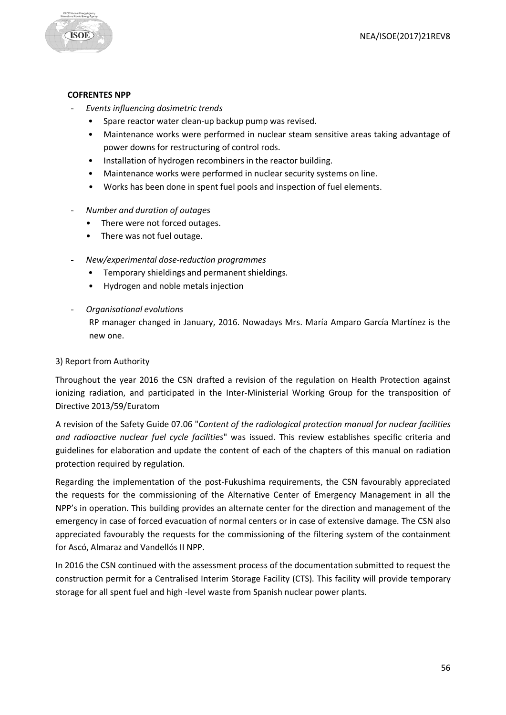

#### **COFRENTES NPP**

- *Events influencing dosimetric trends*
	- Spare reactor water clean-up backup pump was revised.
	- Maintenance works were performed in nuclear steam sensitive areas taking advantage of power downs for restructuring of control rods.
	- Installation of hydrogen recombiners in the reactor building.
	- Maintenance works were performed in nuclear security systems on line.
	- Works has been done in spent fuel pools and inspection of fuel elements.
- *Number and duration of outages*
	- There were not forced outages.
	- There was not fuel outage.
- *New/experimental dose-reduction programmes*
	- Temporary shieldings and permanent shieldings.
	- Hydrogen and noble metals injection
- *Organisational evolutions*

RP manager changed in January, 2016. Nowadays Mrs. María Amparo García Martínez is the new one.

#### 3) Report from Authority

Throughout the year 2016 the CSN drafted a revision of the regulation on Health Protection against ionizing radiation, and participated in the Inter-Ministerial Working Group for the transposition of Directive 2013/59/Euratom

A revision of the Safety Guide 07.06 "*Content of the radiological protection manual for nuclear facilities and radioactive nuclear fuel cycle facilities*" was issued. This review establishes specific criteria and guidelines for elaboration and update the content of each of the chapters of this manual on radiation protection required by regulation.

Regarding the implementation of the post-Fukushima requirements, the CSN favourably appreciated the requests for the commissioning of the Alternative Center of Emergency Management in all the NPP's in operation. This building provides an alternate center for the direction and management of the emergency in case of forced evacuation of normal centers or in case of extensive damage. The CSN also appreciated favourably the requests for the commissioning of the filtering system of the containment for Ascó, Almaraz and Vandellós II NPP.

In 2016 the CSN continued with the assessment process of the documentation submitted to request the construction permit for a Centralised Interim Storage Facility (CTS). This facility will provide temporary storage for all spent fuel and high -level waste from Spanish nuclear power plants.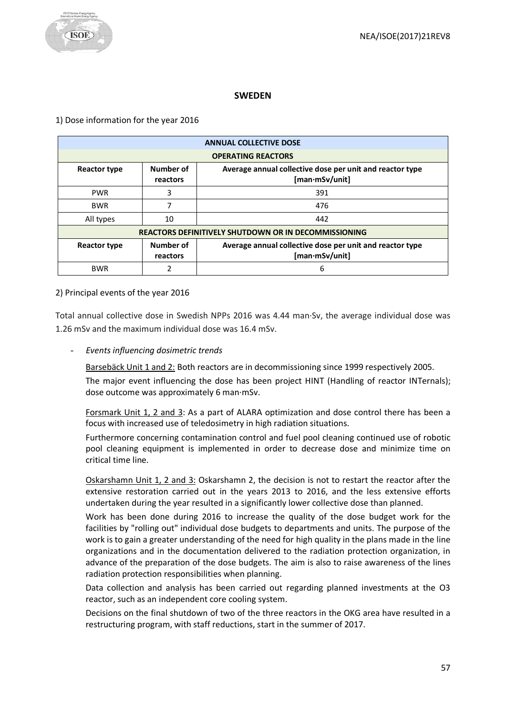

# **SWEDEN**

<span id="page-56-0"></span>1) Dose information for the year 2016

| <b>ANNUAL COLLECTIVE DOSE</b> |                                                             |                                                                            |  |
|-------------------------------|-------------------------------------------------------------|----------------------------------------------------------------------------|--|
|                               | <b>OPERATING REACTORS</b>                                   |                                                                            |  |
| <b>Reactor type</b>           | Number of<br>reactors                                       | Average annual collective dose per unit and reactor type<br>[man·mSv/unit] |  |
| <b>PWR</b>                    | 3                                                           | 391                                                                        |  |
| <b>BWR</b>                    |                                                             | 476                                                                        |  |
| All types                     | 10                                                          | 442                                                                        |  |
|                               | <b>REACTORS DEFINITIVELY SHUTDOWN OR IN DECOMMISSIONING</b> |                                                                            |  |
| <b>Reactor type</b>           | Number of<br>reactors                                       | Average annual collective dose per unit and reactor type<br>[man·mSv/unit] |  |
| <b>BWR</b>                    |                                                             | 6                                                                          |  |

# 2) Principal events of the year 2016

Total annual collective dose in Swedish NPPs 2016 was 4.44 man·Sv, the average individual dose was 1.26 mSv and the maximum individual dose was 16.4 mSv.

- *Events influencing dosimetric trends*

Barsebäck Unit 1 and 2: Both reactors are in decommissioning since 1999 respectively 2005.

The major event influencing the dose has been project HINT (Handling of reactor INTernals); dose outcome was approximately 6 man·mSv.

Forsmark Unit 1, 2 and 3: As a part of ALARA optimization and dose control there has been a focus with increased use of teledosimetry in high radiation situations.

Furthermore concerning contamination control and fuel pool cleaning continued use of robotic pool cleaning equipment is implemented in order to decrease dose and minimize time on critical time line.

Oskarshamn Unit 1, 2 and 3: Oskarshamn 2, the decision is not to restart the reactor after the extensive restoration carried out in the years 2013 to 2016, and the less extensive efforts undertaken during the year resulted in a significantly lower collective dose than planned.

Work has been done during 2016 to increase the quality of the dose budget work for the facilities by "rolling out" individual dose budgets to departments and units. The purpose of the work is to gain a greater understanding of the need for high quality in the plans made in the line organizations and in the documentation delivered to the radiation protection organization, in advance of the preparation of the dose budgets. The aim is also to raise awareness of the lines radiation protection responsibilities when planning.

Data collection and analysis has been carried out regarding planned investments at the O3 reactor, such as an independent core cooling system.

Decisions on the final shutdown of two of the three reactors in the OKG area have resulted in a restructuring program, with staff reductions, start in the summer of 2017.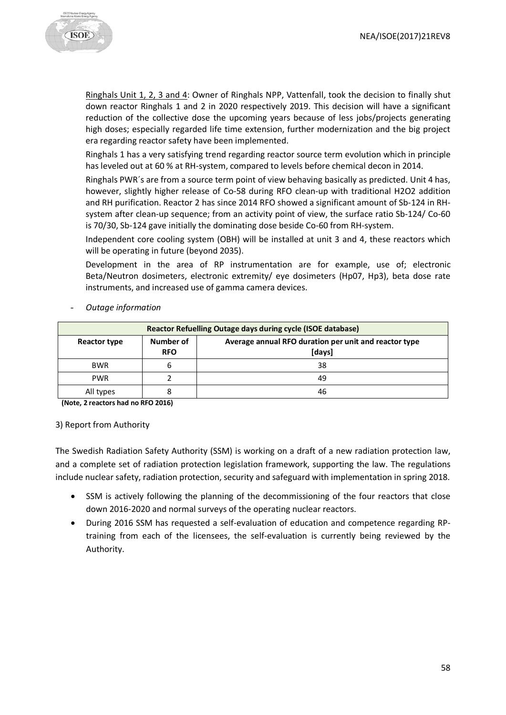

Ringhals Unit 1, 2, 3 and 4: Owner of Ringhals NPP, Vattenfall, took the decision to finally shut down reactor Ringhals 1 and 2 in 2020 respectively 2019. This decision will have a significant reduction of the collective dose the upcoming years because of less jobs/projects generating high doses; especially regarded life time extension, further modernization and the big project era regarding reactor safety have been implemented.

Ringhals 1 has a very satisfying trend regarding reactor source term evolution which in principle has leveled out at 60 % at RH-system, compared to levels before chemical decon in 2014.

Ringhals PWR´s are from a source term point of view behaving basically as predicted. Unit 4 has, however, slightly higher release of Co-58 during RFO clean-up with traditional H2O2 addition and RH purification. Reactor 2 has since 2014 RFO showed a significant amount of Sb-124 in RHsystem after clean-up sequence; from an activity point of view, the surface ratio Sb-124/ Co-60 is 70/30, Sb-124 gave initially the dominating dose beside Co-60 from RH-system.

Independent core cooling system (OBH) will be installed at unit 3 and 4, these reactors which will be operating in future (beyond 2035).

Development in the area of RP instrumentation are for example, use of; electronic Beta/Neutron dosimeters, electronic extremity/ eye dosimeters (Hp07, Hp3), beta dose rate instruments, and increased use of gamma camera devices.

- *Outage information*

| Reactor Refuelling Outage days during cycle (ISOE database) |                         |                                                                 |
|-------------------------------------------------------------|-------------------------|-----------------------------------------------------------------|
| Reactor type                                                | Number of<br><b>RFO</b> | Average annual RFO duration per unit and reactor type<br>[days] |
| <b>BWR</b>                                                  |                         | 38                                                              |
| <b>PWR</b>                                                  |                         | 49                                                              |
| All types                                                   |                         | 46                                                              |

**(Note, 2 reactors had no RFO 2016)**

#### 3) Report from Authority

The Swedish Radiation Safety Authority (SSM) is working on a draft of a new radiation protection law, and a complete set of radiation protection legislation framework, supporting the law. The regulations include nuclear safety, radiation protection, security and safeguard with implementation in spring 2018.

- SSM is actively following the planning of the decommissioning of the four reactors that close down 2016-2020 and normal surveys of the operating nuclear reactors.
- During 2016 SSM has requested a self-evaluation of education and competence regarding RPtraining from each of the licensees, the self-evaluation is currently being reviewed by the Authority.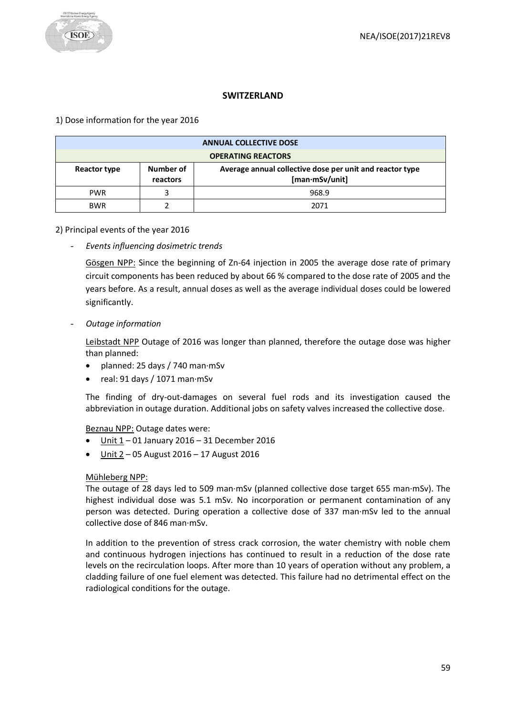# **SWITZERLAND**

<span id="page-58-0"></span>1) Dose information for the year 2016

| <b>ANNUAL COLLECTIVE DOSE</b> |                       |                                                                            |  |
|-------------------------------|-----------------------|----------------------------------------------------------------------------|--|
| <b>OPERATING REACTORS</b>     |                       |                                                                            |  |
| Reactor type                  | Number of<br>reactors | Average annual collective dose per unit and reactor type<br>[man·mSv/unit] |  |
| <b>PWR</b>                    |                       | 968.9                                                                      |  |
| <b>BWR</b>                    |                       | 2071                                                                       |  |

# 2) Principal events of the year 2016

- *Events influencing dosimetric trends*

Gösgen NPP: Since the beginning of Zn-64 injection in 2005 the average dose rate of primary circuit components has been reduced by about 66 % compared to the dose rate of 2005 and the years before. As a result, annual doses as well as the average individual doses could be lowered significantly.

- *Outage information*

Leibstadt NPP Outage of 2016 was longer than planned, therefore the outage dose was higher than planned:

- planned: 25 days / 740 man·mSv
- real: 91 days / 1071 man·mSv

The finding of dry-out-damages on several fuel rods and its investigation caused the abbreviation in outage duration. Additional jobs on safety valves increased the collective dose.

# Beznau NPP: Outage dates were:

- Unit 1 01 January 2016 31 December 2016
- $\bullet$  Unit 2 05 August 2016 17 August 2016

# Mühleberg NPP:

The outage of 28 days led to 509 man·mSv (planned collective dose target 655 man·mSv). The highest individual dose was 5.1 mSv. No incorporation or permanent contamination of any person was detected. During operation a collective dose of 337 man·mSv led to the annual collective dose of 846 man·mSv.

In addition to the prevention of stress crack corrosion, the water chemistry with noble chem and continuous hydrogen injections has continued to result in a reduction of the dose rate levels on the recirculation loops. After more than 10 years of operation without any problem, a cladding failure of one fuel element was detected. This failure had no detrimental effect on the radiological conditions for the outage.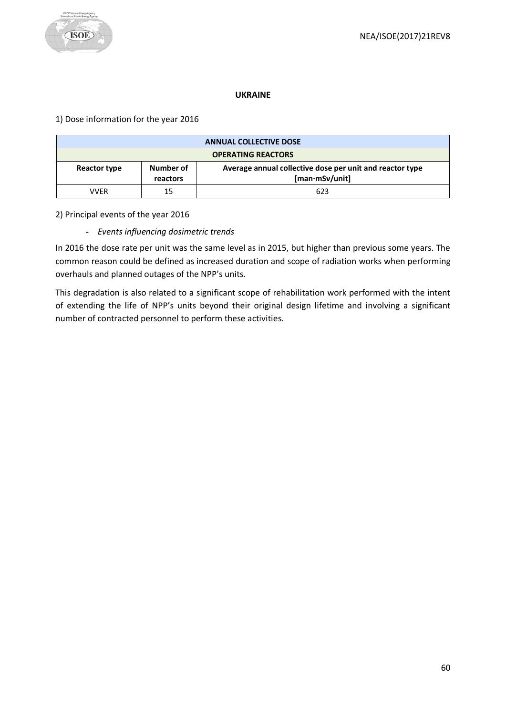#### **UKRAINE**

# <span id="page-59-0"></span>1) Dose information for the year 2016

|                           | <b>ANNUAL COLLECTIVE DOSE</b> |                                                                            |  |
|---------------------------|-------------------------------|----------------------------------------------------------------------------|--|
| <b>OPERATING REACTORS</b> |                               |                                                                            |  |
| Reactor type              | Number of<br>reactors         | Average annual collective dose per unit and reactor type<br>[man·mSv/unit] |  |
| VVFR                      | 15                            | 623                                                                        |  |

# 2) Principal events of the year 2016

# - *Events influencing dosimetric trends*

In 2016 the dose rate per unit was the same level as in 2015, but higher than previous some years. The common reason could be defined as increased duration and scope of radiation works when performing overhauls and planned outages of the NPP's units.

This degradation is also related to a significant scope of rehabilitation work performed with the intent of extending the life of NPP's units beyond their original design lifetime and involving a significant number of contracted personnel to perform these activities.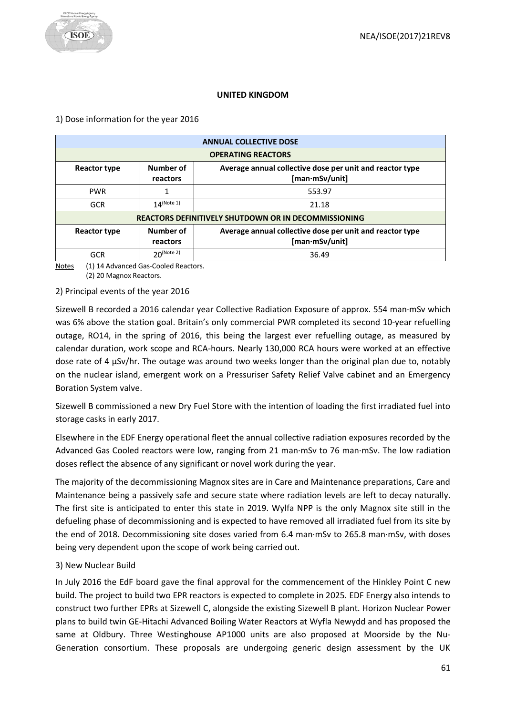#### **UNITED KINGDOM**

#### <span id="page-60-0"></span>1) Dose information for the year 2016

| <b>ANNUAL COLLECTIVE DOSE</b>                               |                       |                                                                            |  |  |  |
|-------------------------------------------------------------|-----------------------|----------------------------------------------------------------------------|--|--|--|
| <b>OPERATING REACTORS</b>                                   |                       |                                                                            |  |  |  |
| Reactor type                                                | Number of<br>reactors | Average annual collective dose per unit and reactor type<br>[man·mSv/unit] |  |  |  |
| <b>PWR</b>                                                  |                       | 553.97                                                                     |  |  |  |
| <b>GCR</b>                                                  | $14$ (Note 1)         | 21.18                                                                      |  |  |  |
| <b>REACTORS DEFINITIVELY SHUTDOWN OR IN DECOMMISSIONING</b> |                       |                                                                            |  |  |  |
| Reactor type                                                | Number of<br>reactors | Average annual collective dose per unit and reactor type<br>[man∙mSv/unit] |  |  |  |
| <b>GCR</b>                                                  | $20^{(Note 2)}$       | 36.49                                                                      |  |  |  |

Notes (1) 14 Advanced Gas-Cooled Reactors.

(2) 20 Magnox Reactors.

#### 2) Principal events of the year 2016

Sizewell B recorded a 2016 calendar year Collective Radiation Exposure of approx. 554 man·mSv which was 6% above the station goal. Britain's only commercial PWR completed its second 10-year refuelling outage, RO14, in the spring of 2016, this being the largest ever refuelling outage, as measured by calendar duration, work scope and RCA-hours. Nearly 130,000 RCA hours were worked at an effective dose rate of 4  $\mu$ Sv/hr. The outage was around two weeks longer than the original plan due to, notably on the nuclear island, emergent work on a Pressuriser Safety Relief Valve cabinet and an Emergency Boration System valve.

Sizewell B commissioned a new Dry Fuel Store with the intention of loading the first irradiated fuel into storage casks in early 2017.

Elsewhere in the EDF Energy operational fleet the annual collective radiation exposures recorded by the Advanced Gas Cooled reactors were low, ranging from 21 man·mSv to 76 man·mSv. The low radiation doses reflect the absence of any significant or novel work during the year.

The majority of the decommissioning Magnox sites are in Care and Maintenance preparations, Care and Maintenance being a passively safe and secure state where radiation levels are left to decay naturally. The first site is anticipated to enter this state in 2019. Wylfa NPP is the only Magnox site still in the defueling phase of decommissioning and is expected to have removed all irradiated fuel from its site by the end of 2018. Decommissioning site doses varied from 6.4 man·mSv to 265.8 man·mSv, with doses being very dependent upon the scope of work being carried out.

# 3) New Nuclear Build

In July 2016 the EdF board gave the final approval for the commencement of the Hinkley Point C new build. The project to build two EPR reactors is expected to complete in 2025. EDF Energy also intends to construct two further EPRs at Sizewell C, alongside the existing Sizewell B plant. Horizon Nuclear Power plans to build twin GE-Hitachi Advanced Boiling Water Reactors at Wyfla Newydd and has proposed the same at Oldbury. Three Westinghouse AP1000 units are also proposed at Moorside by the Nu-Generation consortium. These proposals are undergoing generic design assessment by the UK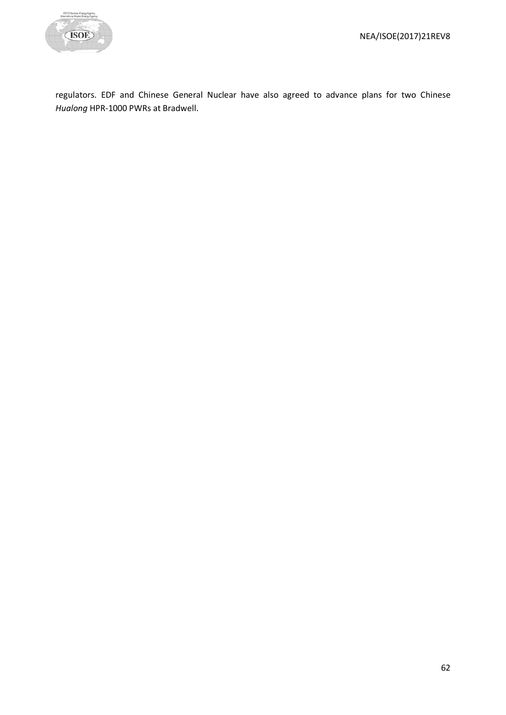

regulators. EDF and Chinese General Nuclear have also agreed to advance plans for two Chinese *Hualong* HPR-1000 PWRs at Bradwell.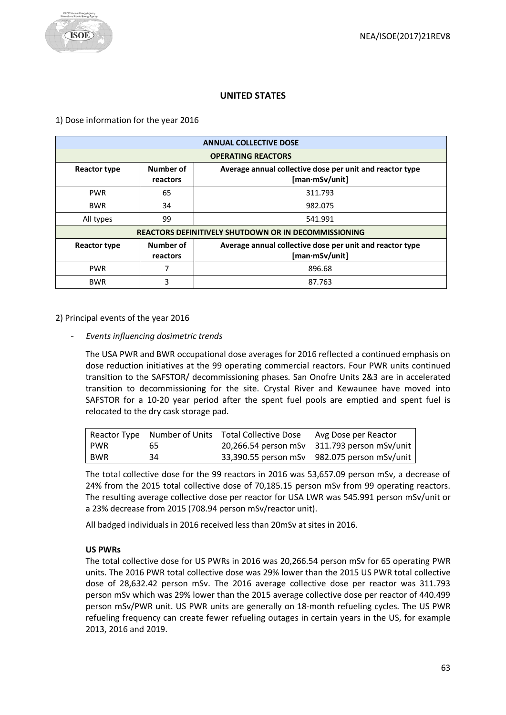# **UNITED STATES**

<span id="page-62-0"></span>1) Dose information for the year 2016

| <b>ANNUAL COLLECTIVE DOSE</b>                               |                       |                                                                            |  |  |  |  |
|-------------------------------------------------------------|-----------------------|----------------------------------------------------------------------------|--|--|--|--|
| <b>OPERATING REACTORS</b>                                   |                       |                                                                            |  |  |  |  |
| <b>Reactor type</b>                                         | Number of<br>reactors | Average annual collective dose per unit and reactor type<br>[man·mSv/unit] |  |  |  |  |
| <b>PWR</b>                                                  | 65                    | 311.793                                                                    |  |  |  |  |
| <b>BWR</b>                                                  | 34                    | 982.075                                                                    |  |  |  |  |
| All types                                                   | 99                    | 541.991                                                                    |  |  |  |  |
| <b>REACTORS DEFINITIVELY SHUTDOWN OR IN DECOMMISSIONING</b> |                       |                                                                            |  |  |  |  |
| <b>Reactor type</b>                                         | Number of<br>reactors | Average annual collective dose per unit and reactor type<br>[man·mSv/unit] |  |  |  |  |
| <b>PWR</b>                                                  |                       | 896.68                                                                     |  |  |  |  |
| <b>BWR</b>                                                  | 3                     | 87.763                                                                     |  |  |  |  |

#### 2) Principal events of the year 2016

- *Events influencing dosimetric trends* 

The USA PWR and BWR occupational dose averages for 2016 reflected a continued emphasis on dose reduction initiatives at the 99 operating commercial reactors. Four PWR units continued transition to the SAFSTOR/ decommissioning phases. San Onofre Units 2&3 are in accelerated transition to decommissioning for the site. Crystal River and Kewaunee have moved into SAFSTOR for a 10-20 year period after the spent fuel pools are emptied and spent fuel is relocated to the dry cask storage pad.

|            |    | Reactor Type Number of Units Total Collective Dose | Avg Dose per Reactor                         |
|------------|----|----------------------------------------------------|----------------------------------------------|
| l PWR      | 65 |                                                    | 20,266.54 person mSv 311.793 person mSv/unit |
| <b>BWR</b> | 34 |                                                    | 33,390.55 person mSv 982.075 person mSv/unit |

The total collective dose for the 99 reactors in 2016 was 53,657.09 person mSv, a decrease of 24% from the 2015 total collective dose of 70,185.15 person mSv from 99 operating reactors. The resulting average collective dose per reactor for USA LWR was 545.991 person mSv/unit or a 23% decrease from 2015 (708.94 person mSv/reactor unit).

All badged individuals in 2016 received less than 20mSv at sites in 2016.

# **US PWRs**

The total collective dose for US PWRs in 2016 was 20,266.54 person mSv for 65 operating PWR units. The 2016 PWR total collective dose was 29% lower than the 2015 US PWR total collective dose of 28,632.42 person mSv. The 2016 average collective dose per reactor was 311.793 person mSv which was 29% lower than the 2015 average collective dose per reactor of 440.499 person mSv/PWR unit. US PWR units are generally on 18-month refueling cycles. The US PWR refueling frequency can create fewer refueling outages in certain years in the US, for example 2013, 2016 and 2019.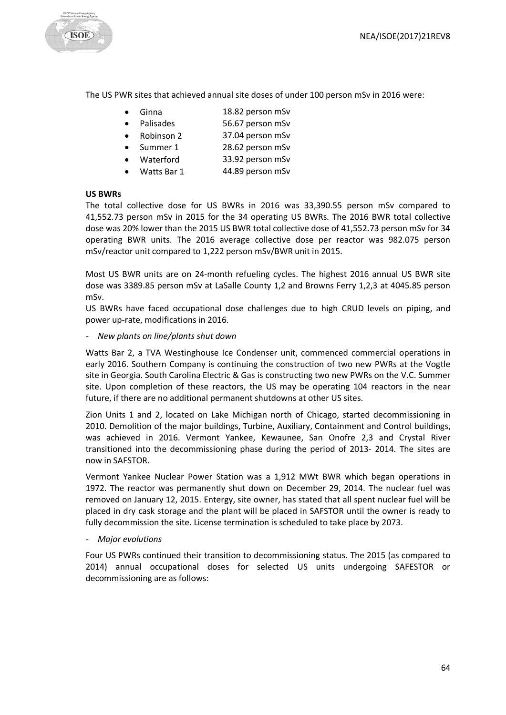

The US PWR sites that achieved annual site doses of under 100 person mSv in 2016 were:

- Ginna 18.82 person mSv
- Palisades 56.67 person mSv
- Robinson 2 37.04 person mSv
- Summer 1 28.62 person mSv
- Waterford 33.92 person mSv
- Watts Bar 1 44.89 person mSv

#### **US BWRs**

The total collective dose for US BWRs in 2016 was 33,390.55 person mSv compared to 41,552.73 person mSv in 2015 for the 34 operating US BWRs. The 2016 BWR total collective dose was 20% lower than the 2015 US BWR total collective dose of 41,552.73 person mSv for 34 operating BWR units. The 2016 average collective dose per reactor was 982.075 person mSv/reactor unit compared to 1,222 person mSv/BWR unit in 2015.

Most US BWR units are on 24-month refueling cycles. The highest 2016 annual US BWR site dose was 3389.85 person mSv at LaSalle County 1,2 and Browns Ferry 1,2,3 at 4045.85 person mSv.

US BWRs have faced occupational dose challenges due to high CRUD levels on piping, and power up-rate, modifications in 2016.

#### - *New plants on line/plants shut down*

Watts Bar 2, a TVA Westinghouse Ice Condenser unit, commenced commercial operations in early 2016. Southern Company is continuing the construction of two new PWRs at the Vogtle site in Georgia. South Carolina Electric & Gas is constructing two new PWRs on the V.C. Summer site. Upon completion of these reactors, the US may be operating 104 reactors in the near future, if there are no additional permanent shutdowns at other US sites.

Zion Units 1 and 2, located on Lake Michigan north of Chicago, started decommissioning in 2010. Demolition of the major buildings, Turbine, Auxiliary, Containment and Control buildings, was achieved in 2016. Vermont Yankee, Kewaunee, San Onofre 2,3 and Crystal River transitioned into the decommissioning phase during the period of 2013- 2014. The sites are now in SAFSTOR.

Vermont Yankee Nuclear Power Station was a 1,912 MWt BWR which began operations in 1972. The reactor was permanently shut down on December 29, 2014. The nuclear fuel was removed on January 12, 2015. Entergy, site owner, has stated that all spent nuclear fuel will be placed in dry cask storage and the plant will be placed in SAFSTOR until the owner is ready to fully decommission the site. License termination is scheduled to take place by 2073.

# - *Major evolutions*

Four US PWRs continued their transition to decommissioning status. The 2015 (as compared to 2014) annual occupational doses for selected US units undergoing SAFESTOR or decommissioning are as follows: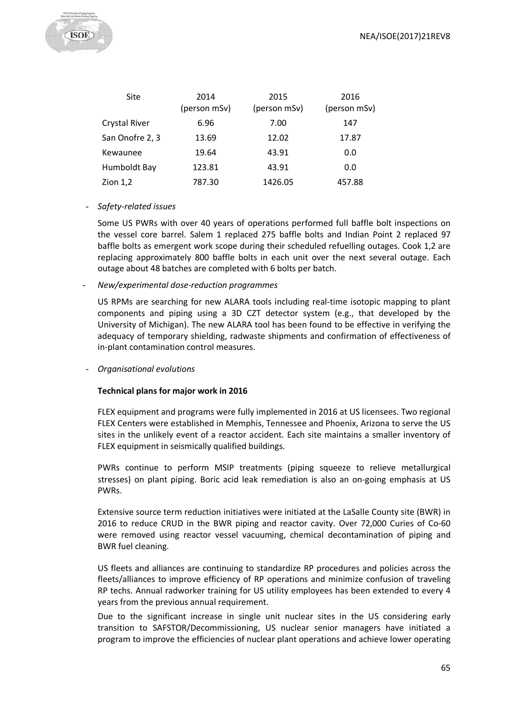

| Site                 | 2014<br>(person mSv) | 2015<br>(person mSv) | 2016<br>(person mSv) |
|----------------------|----------------------|----------------------|----------------------|
| <b>Crystal River</b> | 6.96                 | 7.00                 | 147                  |
| San Onofre 2, 3      | 13.69                | 12.02                | 17.87                |
| Kewaunee             | 19.64                | 43.91                | 0.0                  |
| Humboldt Bay         | 123.81               | 43.91                | 0.0                  |
| Zion $1,2$           | 787.30               | 1426.05              | 457.88               |

#### - *Safety-related issues*

Some US PWRs with over 40 years of operations performed full baffle bolt inspections on the vessel core barrel. Salem 1 replaced 275 baffle bolts and Indian Point 2 replaced 97 baffle bolts as emergent work scope during their scheduled refuelling outages. Cook 1,2 are replacing approximately 800 baffle bolts in each unit over the next several outage. Each outage about 48 batches are completed with 6 bolts per batch.

- *New/experimental dose-reduction programmes*

US RPMs are searching for new ALARA tools including real-time isotopic mapping to plant components and piping using a 3D CZT detector system (e.g., that developed by the University of Michigan). The new ALARA tool has been found to be effective in verifying the adequacy of temporary shielding, radwaste shipments and confirmation of effectiveness of in-plant contamination control measures.

- *Organisational evolutions*

#### **Technical plans for major work in 2016**

FLEX equipment and programs were fully implemented in 2016 at US licensees. Two regional FLEX Centers were established in Memphis, Tennessee and Phoenix, Arizona to serve the US sites in the unlikely event of a reactor accident. Each site maintains a smaller inventory of FLEX equipment in seismically qualified buildings.

PWRs continue to perform MSIP treatments (piping squeeze to relieve metallurgical stresses) on plant piping. Boric acid leak remediation is also an on-going emphasis at US PWRs.

Extensive source term reduction initiatives were initiated at the LaSalle County site (BWR) in 2016 to reduce CRUD in the BWR piping and reactor cavity. Over 72,000 Curies of Co-60 were removed using reactor vessel vacuuming, chemical decontamination of piping and BWR fuel cleaning.

US fleets and alliances are continuing to standardize RP procedures and policies across the fleets/alliances to improve efficiency of RP operations and minimize confusion of traveling RP techs. Annual radworker training for US utility employees has been extended to every 4 years from the previous annual requirement.

Due to the significant increase in single unit nuclear sites in the US considering early transition to SAFSTOR/Decommissioning, US nuclear senior managers have initiated a program to improve the efficiencies of nuclear plant operations and achieve lower operating